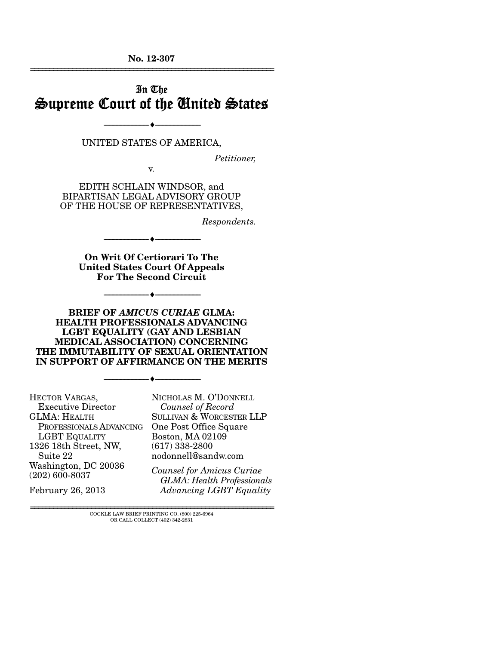**No. 12-307**  ================================================================

## In The Supreme Court of the United States

UNITED STATES OF AMERICA,

--------------------------------- ---------------------------------

*Petitioner,* 

v.

EDITH SCHLAIN WINDSOR, and BIPARTISAN LEGAL ADVISORY GROUP OF THE HOUSE OF REPRESENTATIVES,

*Respondents.* 

**On Writ Of Certiorari To The United States Court Of Appeals For The Second Circuit** 

--------------------------------- ---------------------------------

--------------------------------- ---------------------------------

**BRIEF OF** *AMICUS CURIAE* **GLMA: HEALTH PROFESSIONALS ADVANCING LGBT EQUALITY (GAY AND LESBIAN MEDICAL ASSOCIATION) CONCERNING THE IMMUTABILITY OF SEXUAL ORIENTATION IN SUPPORT OF AFFIRMANCE ON THE MERITS** 

--------------------------------- ---------------------------------

HECTOR VARGAS, Executive Director GLMA: HEALTH PROFESSIONALS ADVANCING One Post Office Square LGBT EQUALITY 1326 18th Street, NW, Suite 22 Washington, DC 20036 (202) 600-8037

February 26, 2013

NICHOLAS M. O'DONNELL  *Counsel of Record* SULLIVAN & WORCESTER LLP Boston, MA 02109 (617) 338-2800 nodonnell@sandw.com

*Counsel for Amicus Curiae GLMA: Health Professionals Advancing LGBT Equality*

================================================================ COCKLE LAW BRIEF PRINTING CO. (800) 225-6964 OR CALL COLLECT (402) 342-2831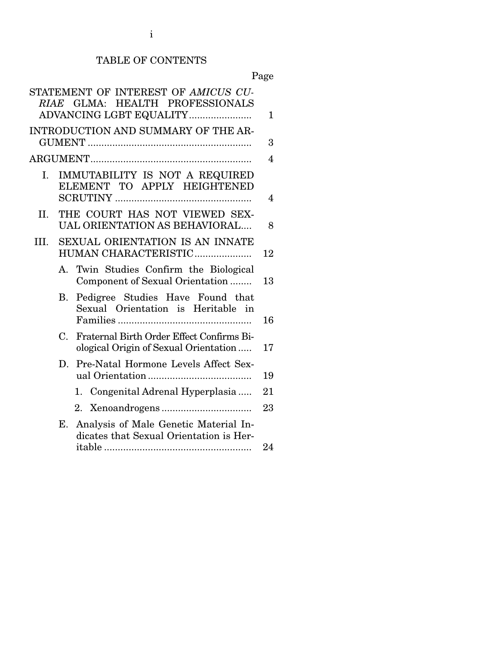# TABLE OF CONTENTS

|      |             | STATEMENT OF INTEREST OF AMICUS CU-<br>RIAE GLMA: HEALTH PROFESSIONALS<br>ADVANCING LGBT EQUALITY | $\mathbf{1}$   |
|------|-------------|---------------------------------------------------------------------------------------------------|----------------|
|      |             | INTRODUCTION AND SUMMARY OF THE AR-                                                               |                |
|      |             |                                                                                                   | 3              |
|      |             |                                                                                                   | $\overline{4}$ |
| I.   |             | IMMUTABILITY IS NOT A REQUIRED<br>ELEMENT TO APPLY HEIGHTENED                                     | 4              |
| II.  |             | THE COURT HAS NOT VIEWED SEX-<br>UAL ORIENTATION AS BEHAVIORAL                                    | 8              |
| III. |             | <b>SEXUAL ORIENTATION IS AN INNATE</b><br>HUMAN CHARACTERISTIC                                    | 12             |
|      | $A_{\cdot}$ | Twin Studies Confirm the Biological<br>Component of Sexual Orientation                            | 13             |
|      | В.          | Pedigree Studies Have Found that<br>Sexual Orientation is Heritable in                            | 16             |
|      | C.          | Fraternal Birth Order Effect Confirms Bi-<br>ological Origin of Sexual Orientation                | 17             |
|      |             | D. Pre-Natal Hormone Levels Affect Sex-                                                           | 19             |
|      |             | 1. Congenital Adrenal Hyperplasia                                                                 | 21             |
|      |             |                                                                                                   | 23             |
|      | Е.          | Analysis of Male Genetic Material In-<br>dicates that Sexual Orientation is Her-                  | 24             |
|      |             |                                                                                                   |                |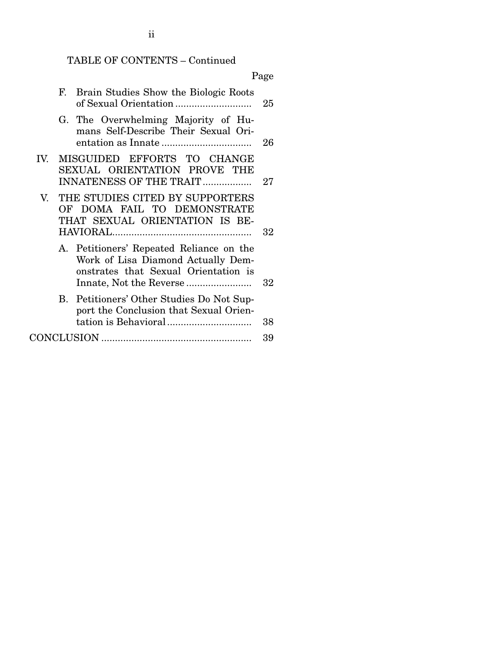## TABLE OF CONTENTS – Continued

|     |    |                                                                                                                        | Page   |
|-----|----|------------------------------------------------------------------------------------------------------------------------|--------|
|     | F. | Brain Studies Show the Biologic Roots                                                                                  | 25     |
|     |    | G. The Overwhelming Majority of Hu-<br>mans Self-Describe Their Sexual Ori-                                            | 26     |
| IV. |    | MISGUIDED EFFORTS TO CHANGE<br>SEXUAL ORIENTATION PROVE THE<br>INNATENESS OF THE TRAIT                                 | 27     |
| V.  |    | THE STUDIES CITED BY SUPPORTERS<br>OF DOMA FAIL TO DEMONSTRATE<br>THAT SEXUAL ORIENTATION IS BE-                       | $32\,$ |
|     |    | A. Petitioners' Repeated Reliance on the<br>Work of Lisa Diamond Actually Dem-<br>onstrates that Sexual Orientation is | 32     |
|     |    | B. Petitioners' Other Studies Do Not Sup-<br>port the Conclusion that Sexual Orien-                                    | 38     |
|     |    |                                                                                                                        | 39     |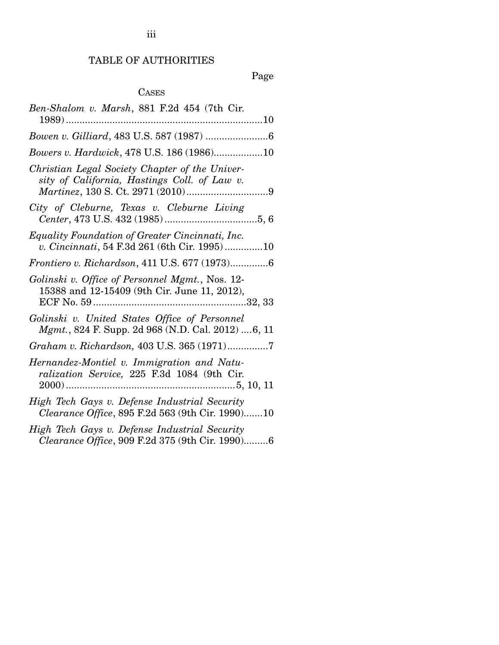## Page

# CASES

| Ben-Shalom v. Marsh, 881 F.2d 454 (7th Cir.                                                        |
|----------------------------------------------------------------------------------------------------|
|                                                                                                    |
| Bowers v. Hardwick, 478 U.S. 186 (1986)10                                                          |
| Christian Legal Society Chapter of the Univer-<br>sity of California, Hastings Coll. of Law v.     |
| City of Cleburne, Texas v. Cleburne Living                                                         |
| Equality Foundation of Greater Cincinnati, Inc.<br>v. Cincinnati, 54 F.3d 261 (6th Cir. 1995)10    |
| Frontiero v. Richardson, 411 U.S. 677 (1973)6                                                      |
| Golinski v. Office of Personnel Mgmt., Nos. 12-<br>15388 and 12-15409 (9th Cir. June 11, 2012),    |
| Golinski v. United States Office of Personnel<br>Mgmt., 824 F. Supp. 2d 968 (N.D. Cal. 2012) 6, 11 |
| Graham v. Richardson, 403 U.S. 365 (1971)7                                                         |
| Hernandez-Montiel v. Immigration and Natu-                                                         |
| ralization Service, 225 F.3d 1084 (9th Cir.                                                        |
| High Tech Gays v. Defense Industrial Security<br>Clearance Office, 895 F.2d 563 (9th Cir. 1990)10  |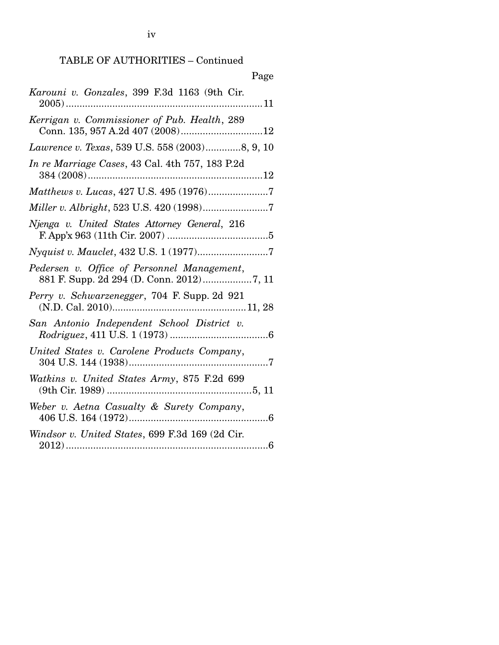TABLE OF AUTHORITIES – Continued

| Page                                                           |
|----------------------------------------------------------------|
| Karouni v. Gonzales, 399 F.3d 1163 (9th Cir.<br>11<br>$2005)$  |
| Kerrigan v. Commissioner of Pub. Health, 289                   |
| Lawrence v. Texas, 539 U.S. 558 (2003)8, 9, 10                 |
| In re Marriage Cases, 43 Cal. 4th 757, 183 P.2d                |
|                                                                |
|                                                                |
| Njenga v. United States Attorney General, 216                  |
|                                                                |
| Pedersen v. Office of Personnel Management,                    |
| Perry v. Schwarzenegger, 704 F. Supp. 2d 921                   |
| San Antonio Independent School District v.                     |
| United States v. Carolene Products Company,                    |
| Watkins v. United States Army, 875 F.2d 699<br>(9th Cir. 1989) |
| Weber v. Aetna Casualty & Surety Company,                      |
| Windsor v. United States, 699 F.3d 169 (2d Cir.                |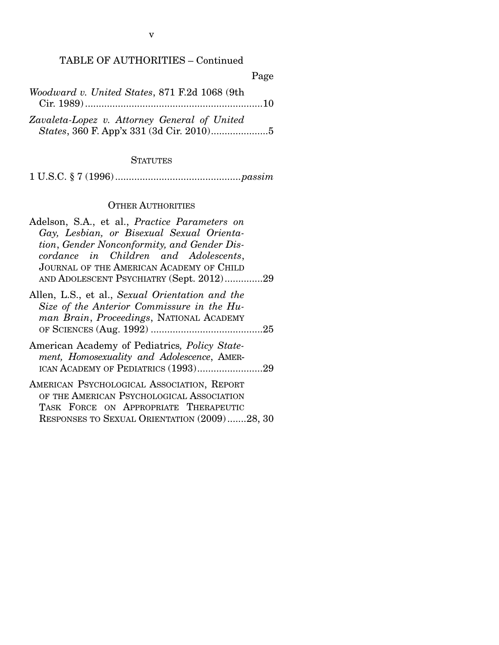Page

*Woodward v. United States*, 871 F.2d 1068 (9th Cir. 1989) ................................................................. 10

*Zavaleta-Lopez v. Attorney General of United States*, 360 F. App'x 331 (3d Cir. 2010) ..................... 5

#### **STATUTES**

1 U.S.C. § 7 (1996) .............................................. *passim*

#### OTHER AUTHORITIES

- Adelson, S.A., et al., *Practice Parameters on Gay, Lesbian, or Bisexual Sexual Orientation*, *Gender Nonconformity, and Gender Discordance in Children and Adolescents*, JOURNAL OF THE AMERICAN ACADEMY OF CHILD AND ADOLESCENT PSYCHIATRY (Sept. 2012) .............. 29
- Allen, L.S., et al., *Sexual Orientation and the Size of the Anterior Commissure in the Human Brain*, *Proceedings*, NATIONAL ACADEMY OF SCIENCES (Aug. 1992) ......................................... 25
- American Academy of Pediatrics*, Policy Statement, Homosexuality and Adolescence*, AMER-ICAN ACADEMY OF PEDIATRICS (1993)...........................29
- AMERICAN PSYCHOLOGICAL ASSOCIATION, REPORT OF THE AMERICAN PSYCHOLOGICAL ASSOCIATION TASK FORCE ON APPROPRIATE THERAPEUTIC RESPONSES TO SEXUAL ORIENTATION (2009) ....... 28, 30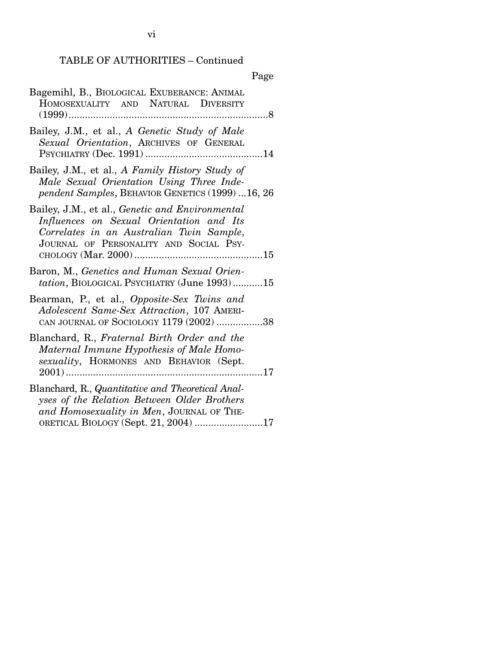# TABLE OF AUTHORITIES – Continued

| Bagemihl, B., BIOLOGICAL EXUBERANCE: ANIMAL<br>HOMOSEXUALITY AND NATURAL DIVERSITY                                                                                                    |
|---------------------------------------------------------------------------------------------------------------------------------------------------------------------------------------|
| Bailey, J.M., et al., A Genetic Study of Male<br>Sexual Orientation, ARCHIVES OF GENERAL                                                                                              |
| Bailey, J.M., et al., A Family History Study of<br>Male Sexual Orientation Using Three Inde-<br>pendent Samples, BEHAVIOR GENETICS (1999) 16, 26                                      |
| Bailey, J.M., et al., Genetic and Environmental<br>Influences on Sexual Orientation and Its<br>Correlates in an Australian Twin Sample,<br>JOURNAL OF PERSONALITY AND SOCIAL PSY-     |
| Baron, M., Genetics and Human Sexual Orien-<br>tation, BIOLOGICAL PSYCHIATRY (June 1993)15                                                                                            |
| Bearman, P., et al., Opposite-Sex Twins and<br>Adolescent Same-Sex Attraction, 107 AMERI-<br>CAN JOURNAL OF SOCIOLOGY 1179 (2002) 38                                                  |
| Blanchard, R., Fraternal Birth Order and the<br>Maternal Immune Hypothesis of Male Homo-<br>sexuality, HORMONES AND BEHAVIOR (Sept.                                                   |
| Blanchard, R., Quantitative and Theoretical Anal-<br>yses of the Relation Between Older Brothers<br>and Homosexuality in Men, JOURNAL OF THE-<br>ORETICAL BIOLOGY (Sept. 21, 2004) 17 |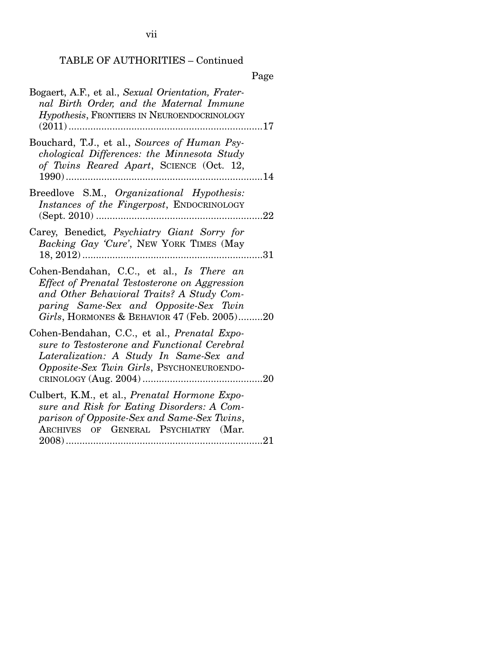# TABLE OF AUTHORITIES – Continued

| Bogaert, A.F., et al., Sexual Orientation, Frater-<br>nal Birth Order, and the Maternal Immune<br>Hypothesis, FRONTIERS IN NEUROENDOCRINOLOGY<br>17                                                                               |
|-----------------------------------------------------------------------------------------------------------------------------------------------------------------------------------------------------------------------------------|
| Bouchard, T.J., et al., Sources of Human Psy-<br>chological Differences: the Minnesota Study<br>of Twins Reared Apart, SCIENCE (Oct. 12,<br>$1990)$                                                                               |
| Breedlove S.M., Organizational Hypothesis:<br>Instances of the Fingerpost, ENDOCRINOLOGY<br>22                                                                                                                                    |
| Carey, Benedict, Psychiatry Giant Sorry for<br>Backing Gay 'Cure', NEW YORK TIMES (May<br>$18, 2012)$<br>31                                                                                                                       |
| Cohen-Bendahan, C.C., et al., Is There an<br>Effect of Prenatal Testosterone on Aggression<br>and Other Behavioral Traits? A Study Com-<br>paring Same-Sex and Opposite-Sex Twin<br>Girls, HORMONES & BEHAVIOR $47$ (Feb. 2005)20 |
| Cohen-Bendahan, C.C., et al., Prenatal Expo-<br>sure to Testosterone and Functional Cerebral<br>Lateralization: A Study In Same-Sex and<br><i>Opposite-Sex Twin Girls</i> , PSYCHONEUROENDO-                                      |
| Culbert, K.M., et al., Prenatal Hormone Expo-<br>sure and Risk for Eating Disorders: A Com-<br>parison of Opposite-Sex and Same-Sex Twins,<br>ARCHIVES OF GENERAL PSYCHIATRY (Mar.                                                |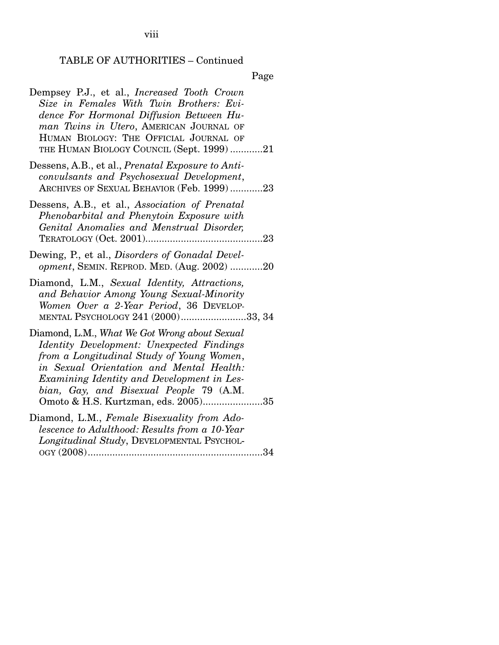viii

# TABLE OF AUTHORITIES – Continued

| Dempsey P.J., et al., <i>Increased Tooth Crown</i><br>Size in Females With Twin Brothers: Evi-<br>dence For Hormonal Diffusion Between Hu-<br>man Twins in Utero, AMERICAN JOURNAL OF<br>HUMAN BIOLOGY: THE OFFICIAL JOURNAL OF<br>THE HUMAN BIOLOGY COUNCIL (Sept. 1999) 21                                        |
|---------------------------------------------------------------------------------------------------------------------------------------------------------------------------------------------------------------------------------------------------------------------------------------------------------------------|
| Dessens, A.B., et al., <i>Prenatal Exposure to Anti-</i><br>convulsants and Psychosexual Development,<br>ARCHIVES OF SEXUAL BEHAVIOR (Feb. 1999)23                                                                                                                                                                  |
| Dessens, A.B., et al., Association of Prenatal<br>Phenobarbital and Phenytoin Exposure with<br>Genital Anomalies and Menstrual Disorder,                                                                                                                                                                            |
| Dewing, P., et al., Disorders of Gonadal Devel-<br>opment, SEMIN. REPROD. MED. (Aug. 2002) 20                                                                                                                                                                                                                       |
| Diamond, L.M., Sexual Identity, Attractions,<br>and Behavior Among Young Sexual-Minority<br>Women Over a 2-Year Period, 36 DEVELOP-<br>MENTAL PSYCHOLOGY 241 (2000)33, 34                                                                                                                                           |
| Diamond, L.M., What We Got Wrong about Sexual<br>Identity Development: Unexpected Findings<br>from a Longitudinal Study of Young Women,<br>in Sexual Orientation and Mental Health:<br>Examining Identity and Development in Les-<br>bian, Gay, and Bisexual People 79 (A.M.<br>Omoto & H.S. Kurtzman, eds. 2005)35 |
| Diamond, L.M., Female Bisexuality from Ado-<br>lescence to Adulthood: Results from a 10-Year<br>Longitudinal Study, DEVELOPMENTAL PSYCHOL-<br>OGY (2008)<br>34                                                                                                                                                      |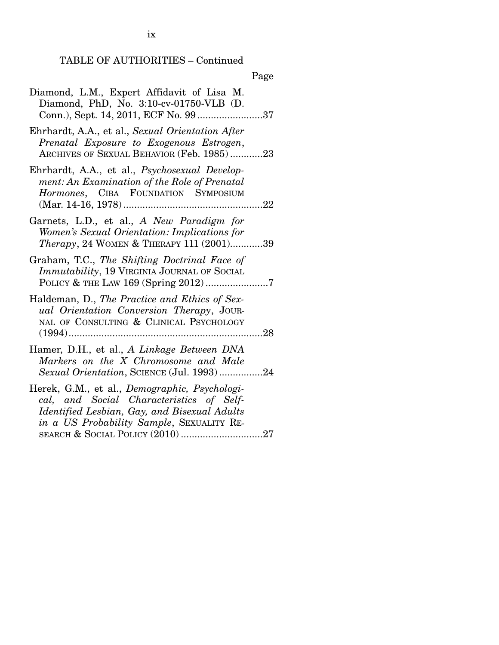## TABLE OF AUTHORITIES – Continued

|--|

| Diamond, L.M., Expert Affidavit of Lisa M.<br>Diamond, PhD, No. 3:10-cv-01750-VLB (D.<br>Conn.), Sept. 14, 2011, ECF No. 9937                                                                         |
|-------------------------------------------------------------------------------------------------------------------------------------------------------------------------------------------------------|
| Ehrhardt, A.A., et al., Sexual Orientation After<br>Prenatal Exposure to Exogenous Estrogen,<br>ARCHIVES OF SEXUAL BEHAVIOR (Feb. 1985)23                                                             |
| Ehrhardt, A.A., et al., Psychosexual Develop-<br>ment: An Examination of the Role of Prenatal<br>Hormones, CIBA FOUNDATION SYMPOSIUM                                                                  |
| Garnets, L.D., et al., A New Paradigm for<br>Women's Sexual Orientation: Implications for<br><i>Therapy</i> , 24 WOMEN & THERAPY 111 (2001)39                                                         |
| Graham, T.C., The Shifting Doctrinal Face of<br><i>Immutability</i> , 19 VIRGINIA JOURNAL OF SOCIAL                                                                                                   |
| Haldeman, D., The Practice and Ethics of Sex-<br>ual Orientation Conversion Therapy, JOUR-<br>NAL OF CONSULTING & CLINICAL PSYCHOLOGY<br>$\dots 28$<br>$(1994)$                                       |
| Hamer, D.H., et al., A Linkage Between DNA<br>Markers on the X Chromosome and Male<br>Sexual Orientation, SCIENCE (Jul. 1993)24                                                                       |
| Herek, G.M., et al., <i>Demographic</i> , <i>Psychologi-</i><br>cal, and Social Characteristics of Self-<br>Identified Lesbian, Gay, and Bisexual Adults<br>in a US Probability Sample, SEXUALITY RE- |

ix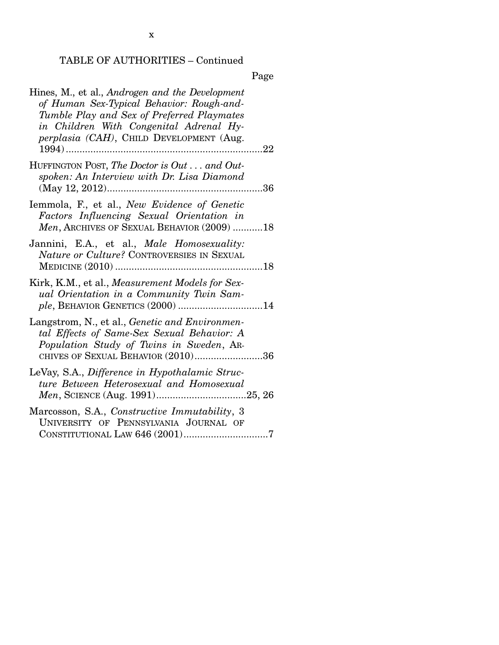x

# TABLE OF AUTHORITIES – Continued

| Hines, M., et al., Androgen and the Development<br>of Human Sex-Typical Behavior: Rough-and-<br>Tumble Play and Sex of Preferred Playmates<br>in Children With Congenital Adrenal Hy-<br>perplasia (CAH), CHILD DEVELOPMENT (Aug.<br>$1994)$<br>22 |
|----------------------------------------------------------------------------------------------------------------------------------------------------------------------------------------------------------------------------------------------------|
| HUFFINGTON POST, The Doctor is Out and Out-<br>spoken: An Interview with Dr. Lisa Diamond                                                                                                                                                          |
| Iemmola, F., et al., New Evidence of Genetic<br>Factors Influencing Sexual Orientation in<br>Men, ARCHIVES OF SEXUAL BEHAVIOR (2009) 18                                                                                                            |
| Jannini, E.A., et al., Male Homosexuality:<br>Nature or Culture? CONTROVERSIES IN SEXUAL                                                                                                                                                           |
| Kirk, K.M., et al., Measurement Models for Sex-<br>ual Orientation in a Community Twin Sam-<br>ple, BEHAVIOR GENETICS (2000) 14                                                                                                                    |
| Langstrom, N., et al., Genetic and Environmen-<br>tal Effects of Same-Sex Sexual Behavior: A<br>Population Study of Twins in Sweden, AR-<br>CHIVES OF SEXUAL BEHAVIOR (2010)36                                                                     |
| LeVay, S.A., Difference in Hypothalamic Struc-<br>ture Between Heterosexual and Homosexual                                                                                                                                                         |
| Marcosson, S.A., Constructive Immutability, 3<br>UNIVERSITY OF PENNSYLVANIA JOURNAL OF                                                                                                                                                             |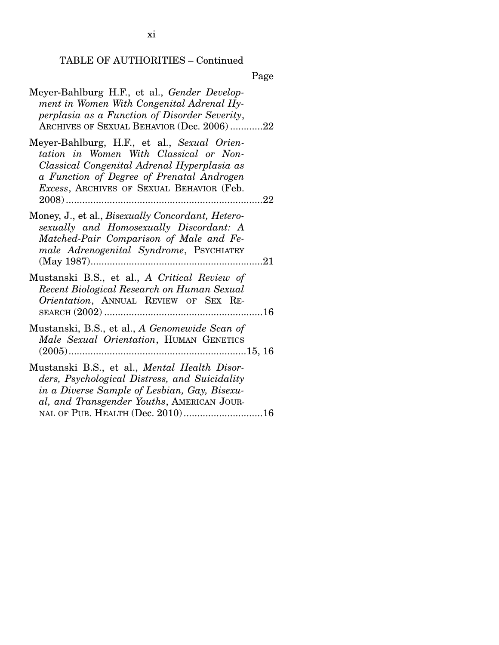## TABLE OF AUTHORITIES – Continued

| Meyer-Bahlburg H.F., et al., Gender Develop-<br>ment in Women With Congenital Adrenal Hy-<br>perplasia as a Function of Disorder Severity,<br>ARCHIVES OF SEXUAL BEHAVIOR (Dec. 2006) 22                                               |
|----------------------------------------------------------------------------------------------------------------------------------------------------------------------------------------------------------------------------------------|
| Meyer-Bahlburg, H.F., et al., Sexual Orien-<br>tation in Women With Classical or Non-<br>Classical Congenital Adrenal Hyperplasia as<br>a Function of Degree of Prenatal Androgen<br><i>Excess</i> , ARCHIVES OF SEXUAL BEHAVIOR (Feb. |
| Money, J., et al., <i>Bisexually Concordant, Hetero-</i><br>sexually and Homosexually Discordant: A<br>Matched-Pair Comparison of Male and Fe-<br>male Adrenogenital Syndrome, PSYCHIATRY<br>$(May 1987)$                              |
| Mustanski B.S., et al., A Critical Review of<br>Recent Biological Research on Human Sexual<br>Orientation, ANNUAL REVIEW OF SEX RE-                                                                                                    |
| Mustanski, B.S., et al., A Genomewide Scan of<br>Male Sexual Orientation, HUMAN GENETICS                                                                                                                                               |
| Mustanski B.S., et al., Mental Health Disor-<br>ders, Psychological Distress, and Suicidality<br>in a Diverse Sample of Lesbian, Gay, Bisexu-<br>al, and Transgender Youths, AMERICAN JOUR-<br>NAL OF PUB. HEALTH (Dec. 2010)16        |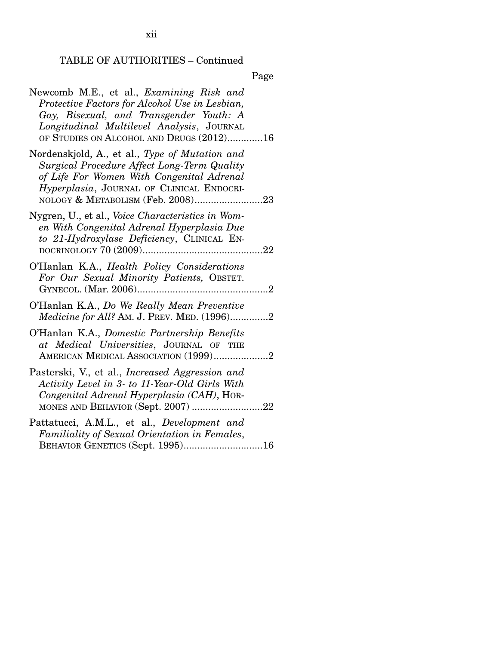TABLE OF AUTHORITIES – Continued

Page

| Newcomb M.E., et al., <i>Examining Risk and</i><br>Protective Factors for Alcohol Use in Lesbian,<br>Gay, Bisexual, and Transgender Youth: A<br>Longitudinal Multilevel Analysis, JOURNAL<br>OF STUDIES ON ALCOHOL AND DRUGS (2012)16 |
|---------------------------------------------------------------------------------------------------------------------------------------------------------------------------------------------------------------------------------------|
| Nordenskjold, A., et al., Type of Mutation and<br>Surgical Procedure Affect Long-Term Quality<br>of Life For Women With Congenital Adrenal<br>Hyperplasia, JOURNAL OF CLINICAL ENDOCRI-<br>NOLOGY & METABOLISM (Feb. 2008)23          |
| Nygren, U., et al., <i>Voice Characteristics in Wom-</i><br>en With Congenital Adrenal Hyperplasia Due<br>to 21-Hydroxylase Deficiency, CLINICAL EN-                                                                                  |
| O'Hanlan K.A., Health Policy Considerations<br>For Our Sexual Minority Patients, OBSTET.                                                                                                                                              |
| O'Hanlan K.A., Do We Really Mean Preventive<br>Medicine for All? AM. J. PREV. MED. (1996)2                                                                                                                                            |
| O'Hanlan K.A., Domestic Partnership Benefits<br>at Medical Universities, JOURNAL OF THE<br>AMERICAN MEDICAL ASSOCIATION (1999)2                                                                                                       |
| Pasterski, V., et al., <i>Increased Aggression and</i><br>Activity Level in 3- to 11-Year-Old Girls With<br>Congenital Adrenal Hyperplasia (CAH), HOR-<br>MONES AND BEHAVIOR (Sept. 2007) 22                                          |
| Pattatucci, A.M.L., et al., Development and<br>Familiality of Sexual Orientation in Females,<br>BEHAVIOR GENETICS (Sept. 1995)16                                                                                                      |

xii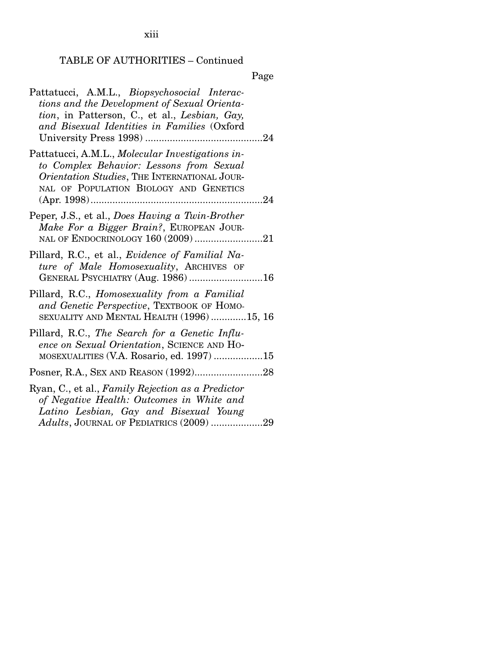xiii

# TABLE OF AUTHORITIES – Continued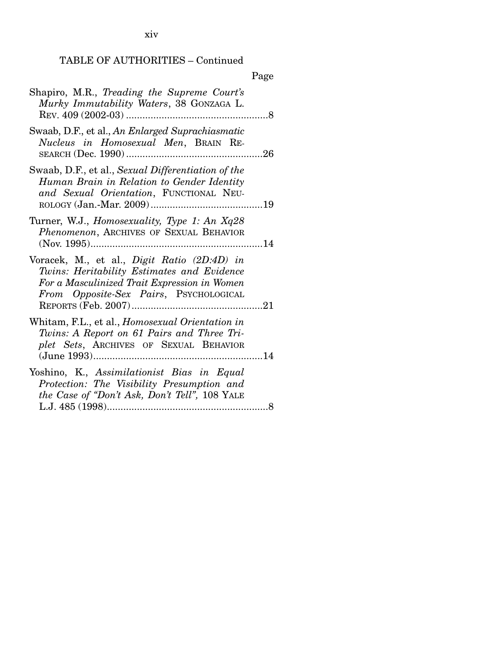xiv

## TABLE OF AUTHORITIES – Continued

| Shapiro, M.R., Treading the Supreme Court's<br>Murky Immutability Waters, 38 GONZAGA L.                                                                                             |  |
|-------------------------------------------------------------------------------------------------------------------------------------------------------------------------------------|--|
| Swaab, D.F., et al., An Enlarged Suprachiasmatic<br>Nucleus in Homosexual Men, BRAIN RE-                                                                                            |  |
| Swaab, D.F., et al., Sexual Differentiation of the<br>Human Brain in Relation to Gender Identity<br>and Sexual Orientation, FUNCTIONAL NEU-                                         |  |
| Turner, W.J., <i>Homosexuality</i> , <i>Type 1: An Xq28</i><br>Phenomenon, ARCHIVES OF SEXUAL BEHAVIOR                                                                              |  |
| Voracek, M., et al., Digit Ratio (2D:4D) in<br>Twins: Heritability Estimates and Evidence<br>For a Masculinized Trait Expression in Women<br>From Opposite-Sex Pairs, PSYCHOLOGICAL |  |
| Whitam, F.L., et al., <i>Homosexual Orientation in</i><br>Twins: A Report on 61 Pairs and Three Tri-<br>plet Sets, ARCHIVES OF SEXUAL BEHAVIOR<br>. 14                              |  |
| Yoshino, K., Assimilationist Bias in Equal<br>Protection: The Visibility Presumption and<br>the Case of "Don't Ask, Don't Tell", 108 YALE                                           |  |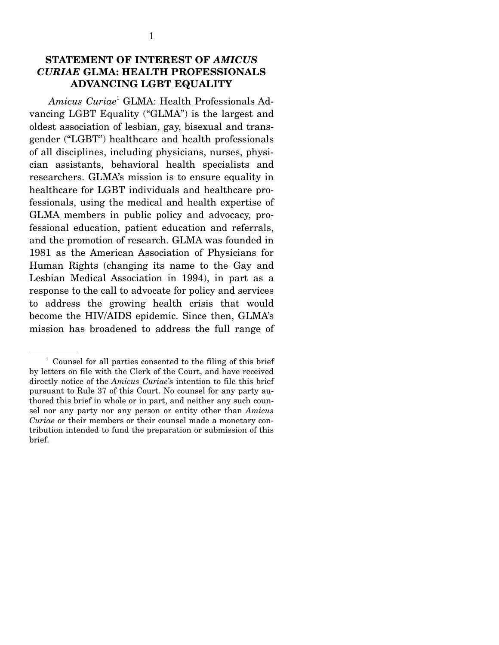### **STATEMENT OF INTEREST OF** *AMICUS CURIAE* **GLMA: HEALTH PROFESSIONALS ADVANCING LGBT EQUALITY**

*Amicus Curiae*<sup>1</sup> GLMA: Health Professionals Advancing LGBT Equality ("GLMA") is the largest and oldest association of lesbian, gay, bisexual and transgender ("LGBT") healthcare and health professionals of all disciplines, including physicians, nurses, physician assistants, behavioral health specialists and researchers. GLMA's mission is to ensure equality in healthcare for LGBT individuals and healthcare professionals, using the medical and health expertise of GLMA members in public policy and advocacy, professional education, patient education and referrals, and the promotion of research. GLMA was founded in 1981 as the American Association of Physicians for Human Rights (changing its name to the Gay and Lesbian Medical Association in 1994), in part as a response to the call to advocate for policy and services to address the growing health crisis that would become the HIV/AIDS epidemic. Since then, GLMA's mission has broadened to address the full range of

<sup>&</sup>lt;sup>1</sup> Counsel for all parties consented to the filing of this brief by letters on file with the Clerk of the Court, and have received directly notice of the *Amicus Curiae*'s intention to file this brief pursuant to Rule 37 of this Court. No counsel for any party authored this brief in whole or in part, and neither any such counsel nor any party nor any person or entity other than *Amicus Curiae* or their members or their counsel made a monetary contribution intended to fund the preparation or submission of this brief.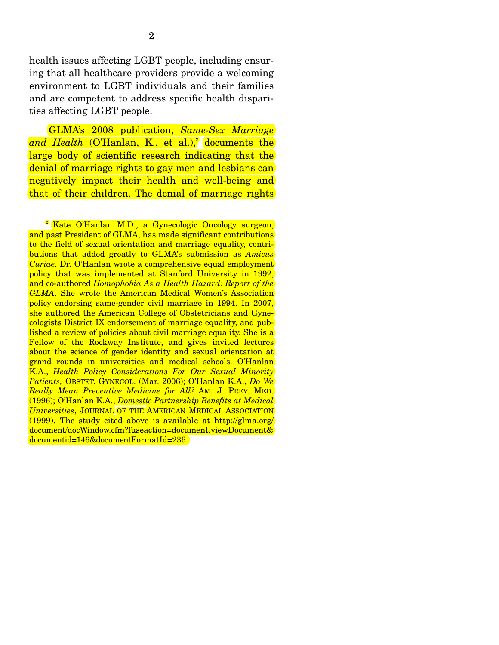health issues affecting LGBT people, including ensuring that all healthcare providers provide a welcoming environment to LGBT individuals and their families and are competent to address specific health disparities affecting LGBT people.

 GLMA's 2008 publication, *Same-Sex Marriage*  a*nd Health* (O'Hanlan, K., et al.),<sup>2</sup> documents the large body of scientific research indicating that the denial of marriage rights to gay men and lesbians can negatively impact their health and well-being and that of their children. The denial of marriage rights

<sup>&</sup>lt;sup>2</sup> Kate O'Hanlan M.D., a Gynecologic Oncology surgeon, and past President of GLMA, has made significant contributions to the field of sexual orientation and marriage equality, contributions that added greatly to GLMA's submission as *Amicus Curiae*. Dr. O'Hanlan wrote a comprehensive equal employment policy that was implemented at Stanford University in 1992, and co-authored *Homophobia As a Health Hazard: Report of the GLMA*. She wrote the American Medical Women's Association policy endorsing same-gender civil marriage in 1994. In 2007, she authored the American College of Obstetricians and Gynecologists District IX endorsement of marriage equality, and published a review of policies about civil marriage equality. She is a Fellow of the Rockway Institute, and gives invited lectures about the science of gender identity and sexual orientation at grand rounds in universities and medical schools. O'Hanlan K.A., *Health Policy Considerations For Our Sexual Minority Patients,* OBSTET. GYNECOL. (Mar. 2006); O'Hanlan K.A., *Do We Really Mean Preventive Medicine for All?* AM. J. PREV. MED. (1996); O'Hanlan K.A., *Domestic Partnership Benefits at Medical Universities*, JOURNAL OF THE AMERICAN MEDICAL ASSOCIATION  $(1999)$ . The study cited above is available at http://glma.org/ document/docWindow.cfm?fuseaction=document.viewDocument& documentid=146&documentFormatId=236.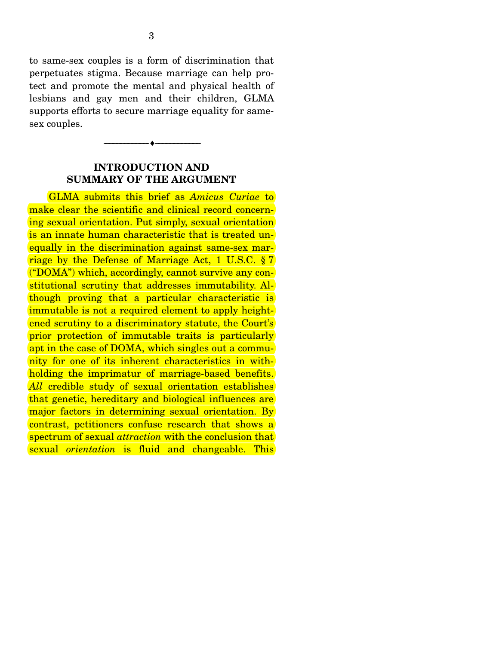to same-sex couples is a form of discrimination that perpetuates stigma. Because marriage can help protect and promote the mental and physical health of lesbians and gay men and their children, GLMA supports efforts to secure marriage equality for samesex couples.

## **INTRODUCTION AND SUMMARY OF THE ARGUMENT**

--------------------------------- ---------------------------------

 GLMA submits this brief as *Amicus Curiae* to make clear the scientific and clinical record concerning sexual orientation. Put simply, sexual orientation is an innate human characteristic that is treated unequally in the discrimination against same-sex marriage by the Defense of Marriage Act, 1 U.S.C. § 7 ("DOMA") which, accordingly, cannot survive any constitutional scrutiny that addresses immutability. Although proving that a particular characteristic is immutable is not a required element to apply heightened scrutiny to a discriminatory statute, the Court's prior protection of immutable traits is particularly apt in the case of DOMA, which singles out a community for one of its inherent characteristics in withholding the imprimatur of marriage-based benefits. *All* credible study of sexual orientation establishes that genetic, hereditary and biological influences are major factors in determining sexual orientation. By contrast, petitioners confuse research that shows a spectrum of sexual *attraction* with the conclusion that sexual *orientation* is fluid and changeable. This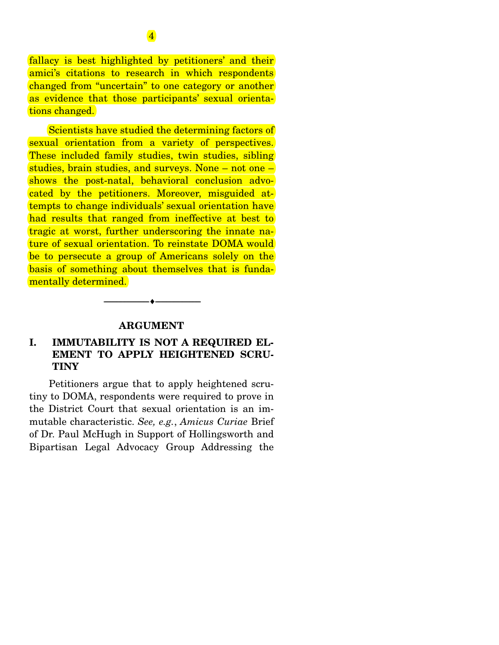fallacy is best highlighted by petitioners' and their amici's citations to research in which respondents changed from "uncertain" to one category or another as evidence that those participants' sexual orientations changed.

 Scientists have studied the determining factors of sexual orientation from a variety of perspectives. These included family studies, twin studies, sibling studies, brain studies, and surveys. None – not one – shows the post-natal, behavioral conclusion advocated by the petitioners. Moreover, misguided attempts to change individuals' sexual orientation have had results that ranged from ineffective at best to tragic at worst, further underscoring the innate nature of sexual orientation. To reinstate DOMA would be to persecute a group of Americans solely on the basis of something about themselves that is fundamentally determined.

#### **ARGUMENT**

--------------------------------- ---------------------------------

## **I. IMMUTABILITY IS NOT A REQUIRED EL-EMENT TO APPLY HEIGHTENED SCRU-TINY**

 Petitioners argue that to apply heightened scrutiny to DOMA, respondents were required to prove in the District Court that sexual orientation is an immutable characteristic. *See, e.g.*, *Amicus Curiae* Brief of Dr. Paul McHugh in Support of Hollingsworth and Bipartisan Legal Advocacy Group Addressing the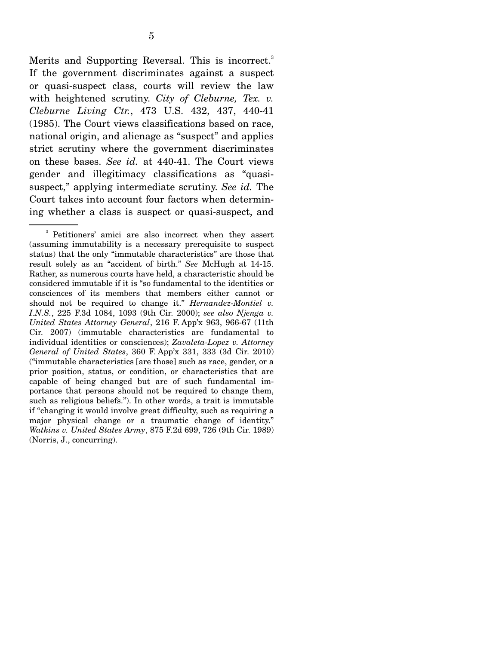Merits and Supporting Reversal. This is incorrect.<sup>3</sup> If the government discriminates against a suspect or quasi-suspect class, courts will review the law with heightened scrutiny. *City of Cleburne, Tex. v. Cleburne Living Ctr.*, 473 U.S. 432, 437, 440-41 (1985). The Court views classifications based on race, national origin, and alienage as "suspect" and applies strict scrutiny where the government discriminates on these bases. *See id.* at 440-41. The Court views gender and illegitimacy classifications as "quasisuspect," applying intermediate scrutiny. *See id.* The Court takes into account four factors when determining whether a class is suspect or quasi-suspect, and

<sup>3</sup> Petitioners' amici are also incorrect when they assert (assuming immutability is a necessary prerequisite to suspect status) that the only "immutable characteristics" are those that result solely as an "accident of birth." *See* McHugh at 14-15. Rather, as numerous courts have held, a characteristic should be considered immutable if it is "so fundamental to the identities or consciences of its members that members either cannot or should not be required to change it." *Hernandez-Montiel v. I.N.S.*, 225 F.3d 1084, 1093 (9th Cir. 2000); *see also Njenga v. United States Attorney General*, 216 F. App'x 963, 966-67 (11th Cir. 2007) (immutable characteristics are fundamental to individual identities or consciences); *Zavaleta-Lopez v. Attorney General of United States*, 360 F. App'x 331, 333 (3d Cir. 2010) ("immutable characteristics [are those] such as race, gender, or a prior position, status, or condition, or characteristics that are capable of being changed but are of such fundamental importance that persons should not be required to change them, such as religious beliefs."). In other words, a trait is immutable if "changing it would involve great difficulty, such as requiring a major physical change or a traumatic change of identity." *Watkins v. United States Army*, 875 F.2d 699, 726 (9th Cir. 1989) (Norris, J., concurring).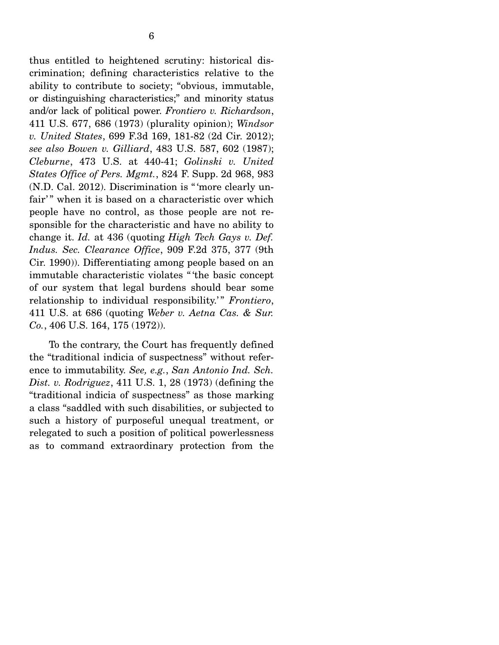thus entitled to heightened scrutiny: historical discrimination; defining characteristics relative to the ability to contribute to society; "obvious, immutable, or distinguishing characteristics;" and minority status and/or lack of political power. *Frontiero v. Richardson*, 411 U.S. 677, 686 (1973) (plurality opinion); *Windsor v. United States*, 699 F.3d 169, 181-82 (2d Cir. 2012); *see also Bowen v. Gilliard*, 483 U.S. 587, 602 (1987); *Cleburne*, 473 U.S. at 440-41; *Golinski v. United States Office of Pers. Mgmt.*, 824 F. Supp. 2d 968, 983 (N.D. Cal. 2012). Discrimination is " 'more clearly unfair'" when it is based on a characteristic over which people have no control, as those people are not responsible for the characteristic and have no ability to change it. *Id.* at 436 (quoting *High Tech Gays v. Def. Indus. Sec. Clearance Office*, 909 F.2d 375, 377 (9th Cir. 1990)). Differentiating among people based on an immutable characteristic violates " 'the basic concept of our system that legal burdens should bear some relationship to individual responsibility.<sup>"</sup> Frontiero, 411 U.S. at 686 (quoting *Weber v. Aetna Cas. & Sur. Co.*, 406 U.S. 164, 175 (1972)).

 To the contrary, the Court has frequently defined the "traditional indicia of suspectness" without reference to immutability. *See, e.g.*, *San Antonio Ind. Sch. Dist. v. Rodriguez*, 411 U.S. 1, 28 (1973) (defining the "traditional indicia of suspectness" as those marking a class "saddled with such disabilities, or subjected to such a history of purposeful unequal treatment, or relegated to such a position of political powerlessness as to command extraordinary protection from the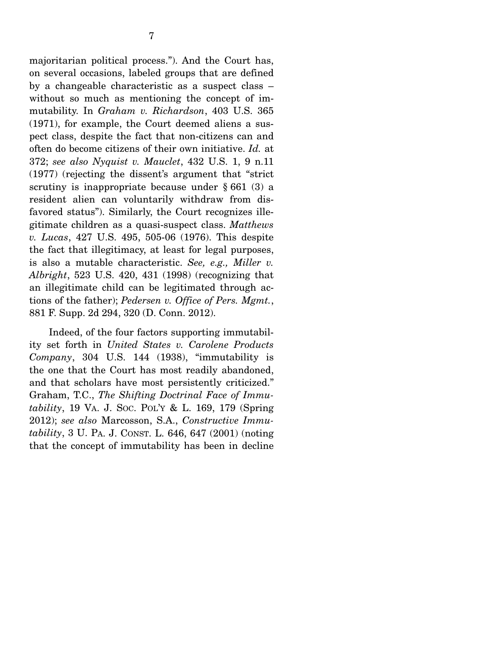majoritarian political process."). And the Court has, on several occasions, labeled groups that are defined by a changeable characteristic as a suspect class – without so much as mentioning the concept of immutability. In *Graham v. Richardson*, 403 U.S. 365 (1971), for example, the Court deemed aliens a suspect class, despite the fact that non-citizens can and often do become citizens of their own initiative. *Id.* at 372; *see also Nyquist v. Mauclet*, 432 U.S. 1, 9 n.11 (1977) (rejecting the dissent's argument that "strict scrutiny is inappropriate because under § 661 (3) a resident alien can voluntarily withdraw from disfavored status"). Similarly, the Court recognizes illegitimate children as a quasi-suspect class. *Matthews v. Lucas*, 427 U.S. 495, 505-06 (1976). This despite the fact that illegitimacy, at least for legal purposes, is also a mutable characteristic. *See, e.g., Miller v. Albright*, 523 U.S. 420, 431 (1998) (recognizing that an illegitimate child can be legitimated through actions of the father); *Pedersen v. Office of Pers. Mgmt.*, 881 F. Supp. 2d 294, 320 (D. Conn. 2012).

 Indeed, of the four factors supporting immutability set forth in *United States v. Carolene Products Company*, 304 U.S. 144 (1938), "immutability is the one that the Court has most readily abandoned, and that scholars have most persistently criticized." Graham, T.C., *The Shifting Doctrinal Face of Immutability*, 19 VA. J. SOC. POL'Y & L. 169, 179 (Spring 2012); *see also* Marcosson, S.A., *Constructive Immutability*, 3 U. PA. J. CONST. L. 646, 647 (2001) (noting that the concept of immutability has been in decline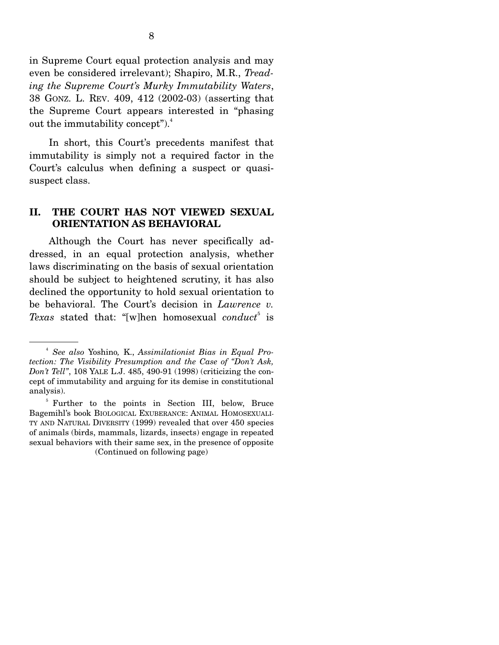in Supreme Court equal protection analysis and may even be considered irrelevant); Shapiro, M.R., *Treading the Supreme Court's Murky Immutability Waters*, 38 GONZ. L. REV. 409, 412 (2002-03) (asserting that the Supreme Court appears interested in "phasing out the immutability concept"). $4$ 

In short, this Court's precedents manifest that immutability is simply not a required factor in the Court's calculus when defining a suspect or quasisuspect class.

### **II. THE COURT HAS NOT VIEWED SEXUAL ORIENTATION AS BEHAVIORAL**

 Although the Court has never specifically addressed, in an equal protection analysis, whether laws discriminating on the basis of sexual orientation should be subject to heightened scrutiny, it has also declined the opportunity to hold sexual orientation to be behavioral. The Court's decision in *Lawrence v.*  Texas stated that: "[w]hen homosexual *conduct*<sup>5</sup> is

<sup>4</sup> *See also* Yoshino*,* K., *Assimilationist Bias in Equal Protection: The Visibility Presumption and the Case of "Don't Ask, Don't Tell"*, 108 YALE L.J. 485, 490-91 (1998) (criticizing the concept of immutability and arguing for its demise in constitutional analysis).

<sup>&</sup>lt;sup>5</sup> Further to the points in Section III, below, Bruce Bagemihl's book BIOLOGICAL EXUBERANCE: ANIMAL HOMOSEXUALI-TY AND NATURAL DIVERSITY (1999) revealed that over 450 species of animals (birds, mammals, lizards, insects) engage in repeated sexual behaviors with their same sex, in the presence of opposite (Continued on following page)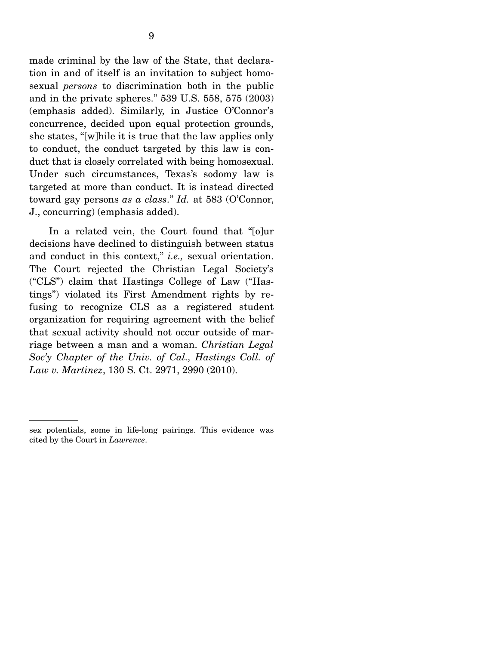made criminal by the law of the State, that declaration in and of itself is an invitation to subject homosexual *persons* to discrimination both in the public and in the private spheres." 539 U.S. 558, 575 (2003) (emphasis added). Similarly, in Justice O'Connor's concurrence, decided upon equal protection grounds, she states, "[w]hile it is true that the law applies only to conduct, the conduct targeted by this law is conduct that is closely correlated with being homosexual. Under such circumstances, Texas's sodomy law is targeted at more than conduct. It is instead directed toward gay persons *as a class*." *Id.* at 583 (O'Connor, J., concurring) (emphasis added).

 In a related vein, the Court found that "[o]ur decisions have declined to distinguish between status and conduct in this context," *i.e.,* sexual orientation. The Court rejected the Christian Legal Society's ("CLS") claim that Hastings College of Law ("Hastings") violated its First Amendment rights by refusing to recognize CLS as a registered student organization for requiring agreement with the belief that sexual activity should not occur outside of marriage between a man and a woman. *Christian Legal Soc'y Chapter of the Univ. of Cal., Hastings Coll. of Law v. Martinez*, 130 S. Ct. 2971, 2990 (2010).

sex potentials, some in life-long pairings. This evidence was cited by the Court in *Lawrence*.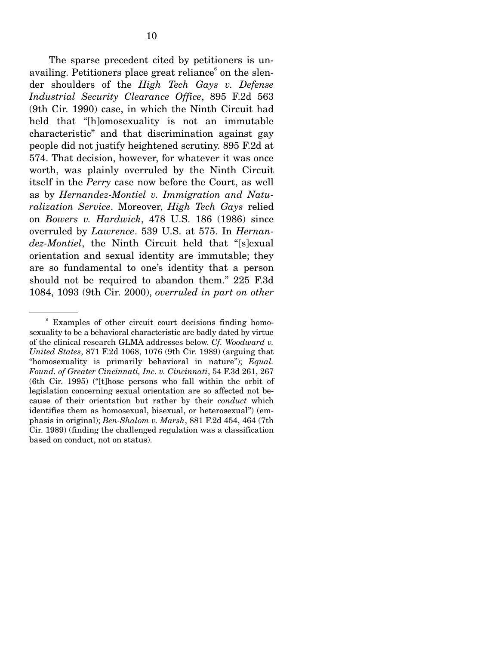The sparse precedent cited by petitioners is unavailing. Petitioners place great reliance<sup>6</sup> on the slender shoulders of the *High Tech Gays v. Defense Industrial Security Clearance Office*, 895 F.2d 563 (9th Cir. 1990) case, in which the Ninth Circuit had held that "[h]omosexuality is not an immutable characteristic" and that discrimination against gay people did not justify heightened scrutiny. 895 F.2d at 574. That decision, however, for whatever it was once worth, was plainly overruled by the Ninth Circuit itself in the *Perry* case now before the Court, as well as by *Hernandez-Montiel v. Immigration and Naturalization Service*. Moreover, *High Tech Gays* relied on *Bowers v. Hardwick*, 478 U.S. 186 (1986) since overruled by *Lawrence*. 539 U.S. at 575. In *Hernandez-Montiel*, the Ninth Circuit held that "[s]exual orientation and sexual identity are immutable; they are so fundamental to one's identity that a person should not be required to abandon them." 225 F.3d 1084, 1093 (9th Cir. 2000), *overruled in part on other* 

<sup>6</sup> Examples of other circuit court decisions finding homosexuality to be a behavioral characteristic are badly dated by virtue of the clinical research GLMA addresses below. *Cf. Woodward v. United States*, 871 F.2d 1068, 1076 (9th Cir. 1989) (arguing that "homosexuality is primarily behavioral in nature"); *Equal. Found. of Greater Cincinnati, Inc. v. Cincinnati*, 54 F.3d 261, 267 (6th Cir. 1995) ("[t]hose persons who fall within the orbit of legislation concerning sexual orientation are so affected not because of their orientation but rather by their *conduct* which identifies them as homosexual, bisexual, or heterosexual") (emphasis in original); *Ben-Shalom v. Marsh*, 881 F.2d 454, 464 (7th Cir. 1989) (finding the challenged regulation was a classification based on conduct, not on status).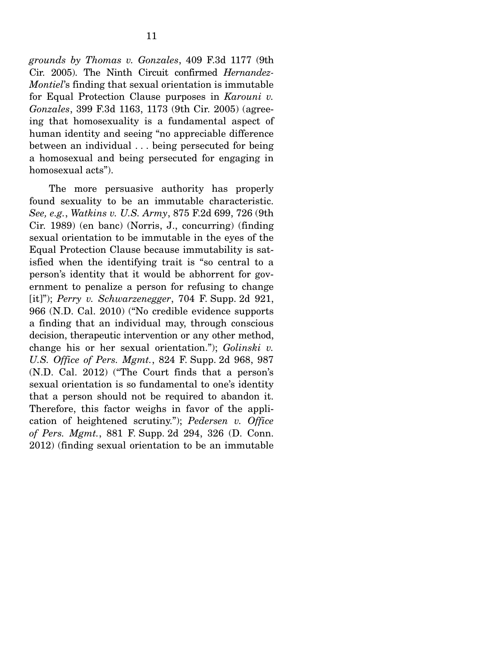*grounds by Thomas v. Gonzales*, 409 F.3d 1177 (9th Cir. 2005). The Ninth Circuit confirmed *Hernandez-Montiel*'s finding that sexual orientation is immutable for Equal Protection Clause purposes in *Karouni v. Gonzales*, 399 F.3d 1163, 1173 (9th Cir. 2005) (agreeing that homosexuality is a fundamental aspect of human identity and seeing "no appreciable difference between an individual . . . being persecuted for being a homosexual and being persecuted for engaging in homosexual acts").

 The more persuasive authority has properly found sexuality to be an immutable characteristic. *See, e.g.*, *Watkins v. U.S. Army*, 875 F.2d 699, 726 (9th Cir. 1989) (en banc) (Norris, J., concurring) (finding sexual orientation to be immutable in the eyes of the Equal Protection Clause because immutability is satisfied when the identifying trait is "so central to a person's identity that it would be abhorrent for government to penalize a person for refusing to change [it]"); *Perry v. Schwarzenegger*, 704 F. Supp. 2d 921, 966 (N.D. Cal. 2010) ("No credible evidence supports a finding that an individual may, through conscious decision, therapeutic intervention or any other method, change his or her sexual orientation."); *Golinski v. U.S. Office of Pers. Mgmt.*, 824 F. Supp. 2d 968, 987 (N.D. Cal. 2012) ("The Court finds that a person's sexual orientation is so fundamental to one's identity that a person should not be required to abandon it. Therefore, this factor weighs in favor of the application of heightened scrutiny."); *Pedersen v. Office of Pers. Mgmt.*, 881 F. Supp. 2d 294, 326 (D. Conn. 2012) (finding sexual orientation to be an immutable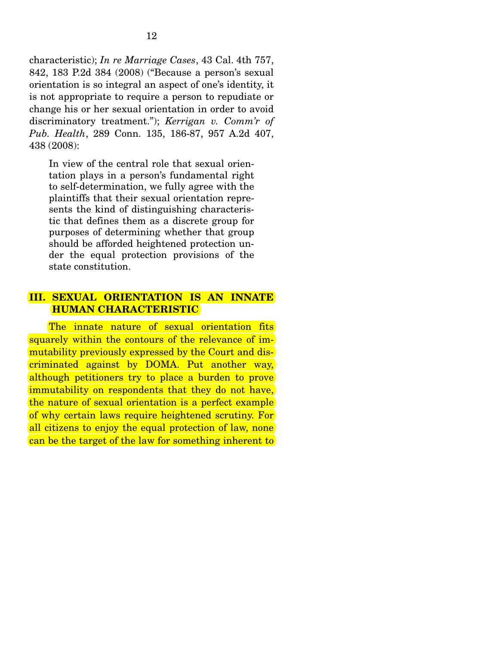characteristic); *In re Marriage Cases*, 43 Cal. 4th 757, 842, 183 P.2d 384 (2008) ("Because a person's sexual orientation is so integral an aspect of one's identity, it is not appropriate to require a person to repudiate or change his or her sexual orientation in order to avoid discriminatory treatment."); *Kerrigan v. Comm'r of Pub. Health*, 289 Conn. 135, 186-87, 957 A.2d 407, 438 (2008):

In view of the central role that sexual orientation plays in a person's fundamental right to self-determination, we fully agree with the plaintiffs that their sexual orientation represents the kind of distinguishing characteristic that defines them as a discrete group for purposes of determining whether that group should be afforded heightened protection under the equal protection provisions of the state constitution.

### **III. SEXUAL ORIENTATION IS AN INNATE HUMAN CHARACTERISTIC**

 The innate nature of sexual orientation fits squarely within the contours of the relevance of immutability previously expressed by the Court and discriminated against by DOMA. Put another way, although petitioners try to place a burden to prove immutability on respondents that they do not have. the nature of sexual orientation is a perfect example of why certain laws require heightened scrutiny. For all citizens to enjoy the equal protection of law, none can be the target of the law for something inherent to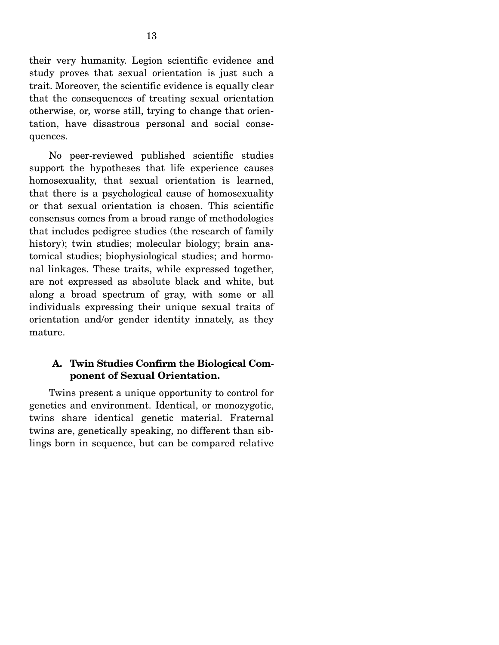their very humanity. Legion scientific evidence and study proves that sexual orientation is just such a trait. Moreover, the scientific evidence is equally clear that the consequences of treating sexual orientation otherwise, or, worse still, trying to change that orientation, have disastrous personal and social consequences.

 No peer-reviewed published scientific studies support the hypotheses that life experience causes homosexuality, that sexual orientation is learned, that there is a psychological cause of homosexuality or that sexual orientation is chosen. This scientific consensus comes from a broad range of methodologies that includes pedigree studies (the research of family history); twin studies; molecular biology; brain anatomical studies; biophysiological studies; and hormonal linkages. These traits, while expressed together, are not expressed as absolute black and white, but along a broad spectrum of gray, with some or all individuals expressing their unique sexual traits of orientation and/or gender identity innately, as they mature.

## **A. Twin Studies Confirm the Biological Component of Sexual Orientation.**

Twins present a unique opportunity to control for genetics and environment. Identical, or monozygotic, twins share identical genetic material. Fraternal twins are, genetically speaking, no different than siblings born in sequence, but can be compared relative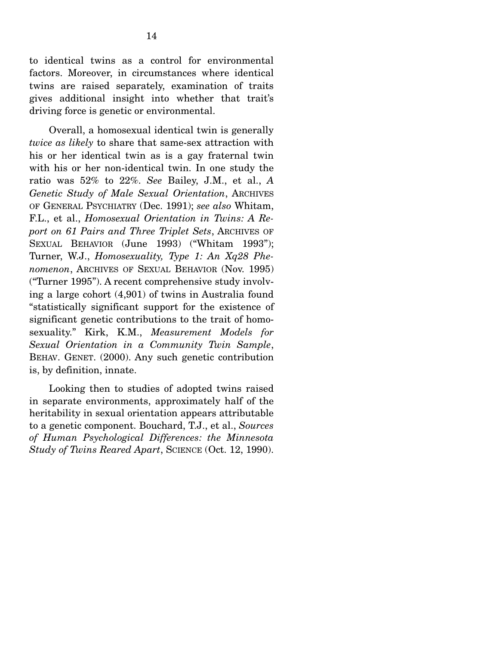to identical twins as a control for environmental factors. Moreover, in circumstances where identical twins are raised separately, examination of traits gives additional insight into whether that trait's driving force is genetic or environmental.

 Overall, a homosexual identical twin is generally *twice as likely* to share that same-sex attraction with his or her identical twin as is a gay fraternal twin with his or her non-identical twin. In one study the ratio was 52% to 22%. *See* Bailey, J.M., et al., *A Genetic Study of Male Sexual Orientation*, ARCHIVES OF GENERAL PSYCHIATRY (Dec. 1991); *see also* Whitam, F.L., et al., *Homosexual Orientation in Twins: A Report on 61 Pairs and Three Triplet Sets*, ARCHIVES OF SEXUAL BEHAVIOR (June 1993) ("Whitam 1993"); Turner, W.J., *Homosexuality, Type 1: An Xq28 Phenomenon*, ARCHIVES OF SEXUAL BEHAVIOR (Nov. 1995) ("Turner 1995"). A recent comprehensive study involving a large cohort (4,901) of twins in Australia found "statistically significant support for the existence of significant genetic contributions to the trait of homosexuality." Kirk, K.M., *Measurement Models for Sexual Orientation in a Community Twin Sample*, BEHAV. GENET. (2000). Any such genetic contribution is, by definition, innate.

 Looking then to studies of adopted twins raised in separate environments, approximately half of the heritability in sexual orientation appears attributable to a genetic component. Bouchard, T.J., et al., *Sources of Human Psychological Differences: the Minnesota Study of Twins Reared Apart*, SCIENCE (Oct. 12, 1990).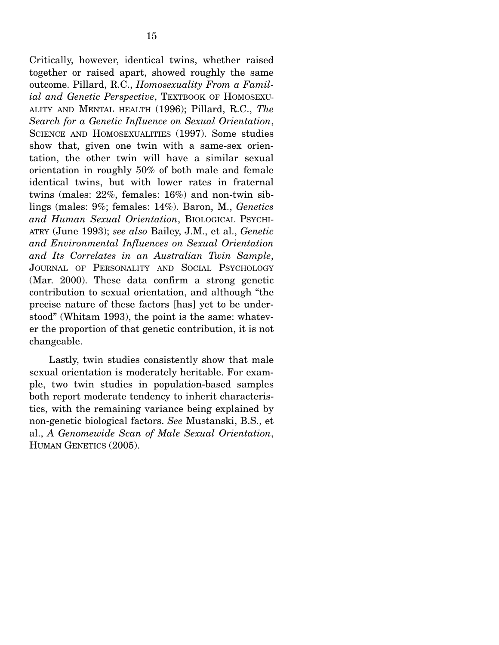15

Critically, however, identical twins, whether raised together or raised apart, showed roughly the same outcome. Pillard, R.C., *Homosexuality From a Familial and Genetic Perspective*, TEXTBOOK OF HOMOSEXU-ALITY AND MENTAL HEALTH (1996); Pillard, R.C., *The Search for a Genetic Influence on Sexual Orientation*, SCIENCE AND HOMOSEXUALITIES (1997). Some studies show that, given one twin with a same-sex orientation, the other twin will have a similar sexual orientation in roughly 50% of both male and female identical twins, but with lower rates in fraternal twins (males: 22%, females: 16%) and non-twin siblings (males: 9%; females: 14%). Baron, M., *Genetics and Human Sexual Orientation*, BIOLOGICAL PSYCHI-ATRY (June 1993); *see also* Bailey, J.M., et al., *Genetic and Environmental Influences on Sexual Orientation and Its Correlates in an Australian Twin Sample*, JOURNAL OF PERSONALITY AND SOCIAL PSYCHOLOGY (Mar. 2000). These data confirm a strong genetic contribution to sexual orientation, and although "the precise nature of these factors [has] yet to be understood" (Whitam 1993), the point is the same: whatever the proportion of that genetic contribution, it is not changeable.

 Lastly, twin studies consistently show that male sexual orientation is moderately heritable. For example, two twin studies in population-based samples both report moderate tendency to inherit characteristics, with the remaining variance being explained by non-genetic biological factors. *See* Mustanski, B.S., et al., *A Genomewide Scan of Male Sexual Orientation*, HUMAN GENETICS (2005).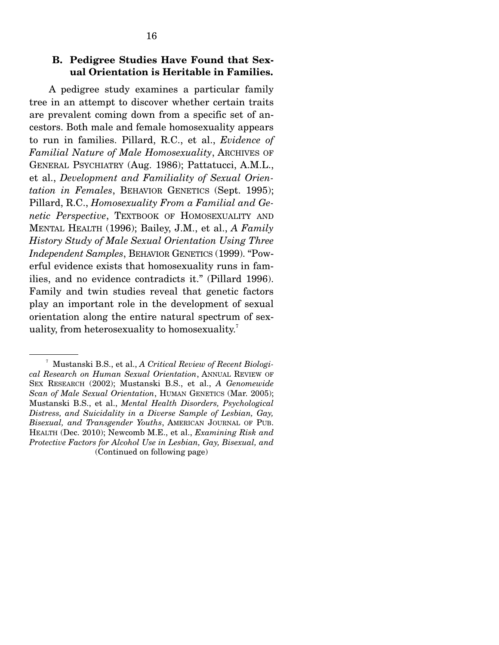### **B. Pedigree Studies Have Found that Sexual Orientation is Heritable in Families.**

A pedigree study examines a particular family tree in an attempt to discover whether certain traits are prevalent coming down from a specific set of ancestors. Both male and female homosexuality appears to run in families. Pillard, R.C., et al., *Evidence of Familial Nature of Male Homosexuality*, ARCHIVES OF GENERAL PSYCHIATRY (Aug. 1986); Pattatucci, A.M.L., et al., *Development and Familiality of Sexual Orientation in Females*, BEHAVIOR GENETICS (Sept. 1995); Pillard, R.C., *Homosexuality From a Familial and Genetic Perspective*, TEXTBOOK OF HOMOSEXUALITY AND MENTAL HEALTH (1996); Bailey, J.M., et al., *A Family History Study of Male Sexual Orientation Using Three Independent Samples*, BEHAVIOR GENETICS (1999). "Powerful evidence exists that homosexuality runs in families, and no evidence contradicts it." (Pillard 1996). Family and twin studies reveal that genetic factors play an important role in the development of sexual orientation along the entire natural spectrum of sexuality, from heterosexuality to homosexuality.<sup>7</sup>

<sup>7</sup> Mustanski B.S., et al., *A Critical Review of Recent Biological Research on Human Sexual Orientation*, ANNUAL REVIEW OF SEX RESEARCH (2002); Mustanski B.S., et al., *A Genomewide Scan of Male Sexual Orientation*, HUMAN GENETICS (Mar. 2005); Mustanski B.S., et al., *Mental Health Disorders, Psychological Distress, and Suicidality in a Diverse Sample of Lesbian, Gay, Bisexual, and Transgender Youths*, AMERICAN JOURNAL OF PUB. HEALTH (Dec. 2010); Newcomb M.E., et al., *Examining Risk and Protective Factors for Alcohol Use in Lesbian, Gay, Bisexual, and*  (Continued on following page)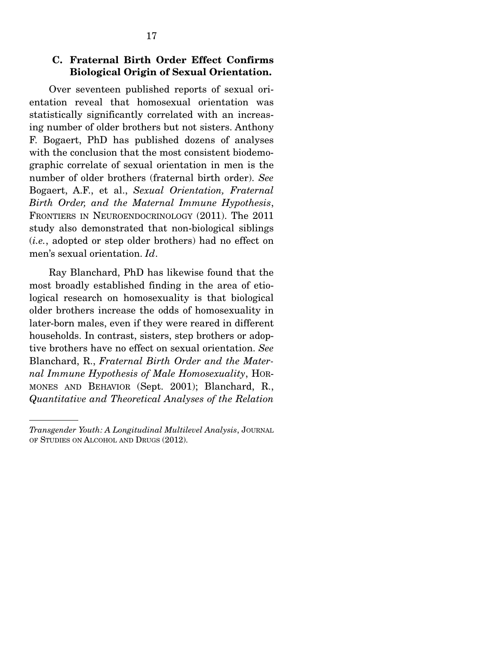### **C. Fraternal Birth Order Effect Confirms Biological Origin of Sexual Orientation.**

Over seventeen published reports of sexual orientation reveal that homosexual orientation was statistically significantly correlated with an increasing number of older brothers but not sisters. Anthony F. Bogaert, PhD has published dozens of analyses with the conclusion that the most consistent biodemographic correlate of sexual orientation in men is the number of older brothers (fraternal birth order). *See* Bogaert, A.F., et al., *Sexual Orientation, Fraternal Birth Order, and the Maternal Immune Hypothesis*, FRONTIERS IN NEUROENDOCRINOLOGY (2011). The 2011 study also demonstrated that non-biological siblings (*i.e.*, adopted or step older brothers) had no effect on men's sexual orientation. *Id*.

 Ray Blanchard, PhD has likewise found that the most broadly established finding in the area of etiological research on homosexuality is that biological older brothers increase the odds of homosexuality in later-born males, even if they were reared in different households. In contrast, sisters, step brothers or adoptive brothers have no effect on sexual orientation. *See* Blanchard, R., *Fraternal Birth Order and the Maternal Immune Hypothesis of Male Homosexuality*, HOR-MONES AND BEHAVIOR (Sept. 2001); Blanchard, R., *Quantitative and Theoretical Analyses of the Relation* 

*Transgender Youth: A Longitudinal Multilevel Analysis*, JOURNAL OF STUDIES ON ALCOHOL AND DRUGS (2012).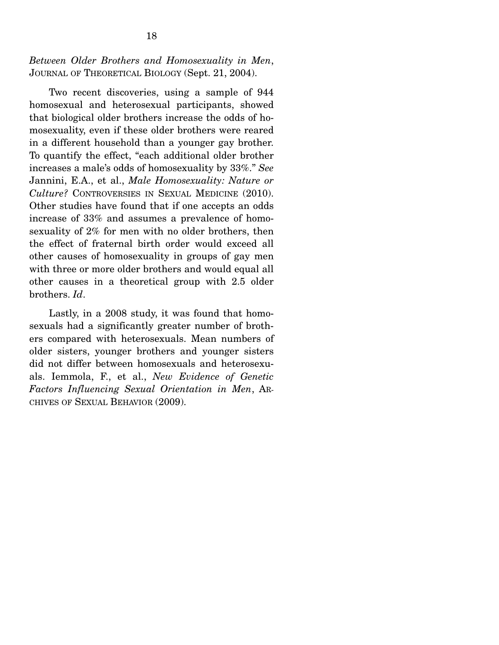### *Between Older Brothers and Homosexuality in Men*, JOURNAL OF THEORETICAL BIOLOGY (Sept. 21, 2004).

 Two recent discoveries, using a sample of 944 homosexual and heterosexual participants, showed that biological older brothers increase the odds of homosexuality, even if these older brothers were reared in a different household than a younger gay brother. To quantify the effect, "each additional older brother increases a male's odds of homosexuality by 33%." *See* Jannini, E.A., et al., *Male Homosexuality: Nature or Culture?* CONTROVERSIES IN SEXUAL MEDICINE (2010). Other studies have found that if one accepts an odds increase of 33% and assumes a prevalence of homosexuality of 2% for men with no older brothers, then the effect of fraternal birth order would exceed all other causes of homosexuality in groups of gay men with three or more older brothers and would equal all other causes in a theoretical group with 2.5 older brothers. *Id*.

 Lastly, in a 2008 study, it was found that homosexuals had a significantly greater number of brothers compared with heterosexuals. Mean numbers of older sisters, younger brothers and younger sisters did not differ between homosexuals and heterosexuals. Iemmola, F., et al., *New Evidence of Genetic Factors Influencing Sexual Orientation in Men*, AR-CHIVES OF SEXUAL BEHAVIOR (2009).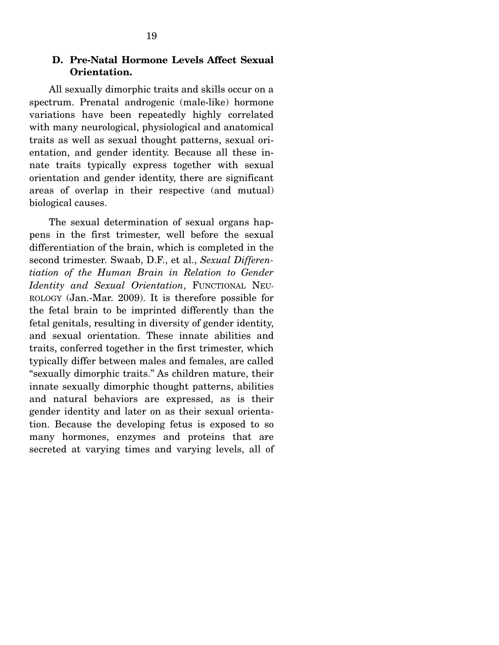## **D. Pre-Natal Hormone Levels Affect Sexual Orientation.**

All sexually dimorphic traits and skills occur on a spectrum. Prenatal androgenic (male-like) hormone variations have been repeatedly highly correlated with many neurological, physiological and anatomical traits as well as sexual thought patterns, sexual orientation, and gender identity. Because all these innate traits typically express together with sexual orientation and gender identity, there are significant areas of overlap in their respective (and mutual) biological causes.

 The sexual determination of sexual organs happens in the first trimester, well before the sexual differentiation of the brain, which is completed in the second trimester. Swaab, D.F., et al., *Sexual Differentiation of the Human Brain in Relation to Gender Identity and Sexual Orientation*, FUNCTIONAL NEU-ROLOGY (Jan.-Mar. 2009). It is therefore possible for the fetal brain to be imprinted differently than the fetal genitals, resulting in diversity of gender identity, and sexual orientation. These innate abilities and traits, conferred together in the first trimester, which typically differ between males and females, are called "sexually dimorphic traits." As children mature, their innate sexually dimorphic thought patterns, abilities and natural behaviors are expressed, as is their gender identity and later on as their sexual orientation. Because the developing fetus is exposed to so many hormones, enzymes and proteins that are secreted at varying times and varying levels, all of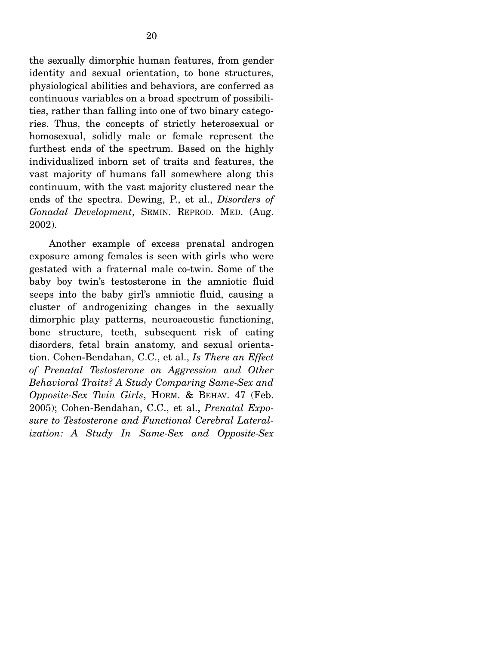the sexually dimorphic human features, from gender identity and sexual orientation, to bone structures, physiological abilities and behaviors, are conferred as continuous variables on a broad spectrum of possibilities, rather than falling into one of two binary categories. Thus, the concepts of strictly heterosexual or homosexual, solidly male or female represent the furthest ends of the spectrum. Based on the highly individualized inborn set of traits and features, the vast majority of humans fall somewhere along this continuum, with the vast majority clustered near the ends of the spectra. Dewing, P., et al., *Disorders of Gonadal Development*, SEMIN. REPROD. MED. (Aug. 2002).

 Another example of excess prenatal androgen exposure among females is seen with girls who were gestated with a fraternal male co-twin. Some of the baby boy twin's testosterone in the amniotic fluid seeps into the baby girl's amniotic fluid, causing a cluster of androgenizing changes in the sexually dimorphic play patterns, neuroacoustic functioning, bone structure, teeth, subsequent risk of eating disorders, fetal brain anatomy, and sexual orientation. Cohen-Bendahan, C.C., et al., *Is There an Effect of Prenatal Testosterone on Aggression and Other Behavioral Traits? A Study Comparing Same-Sex and Opposite-Sex Twin Girls*, HORM. & BEHAV. 47 (Feb. 2005); Cohen-Bendahan, C.C., et al., *Prenatal Exposure to Testosterone and Functional Cerebral Lateralization: A Study In Same-Sex and Opposite-Sex*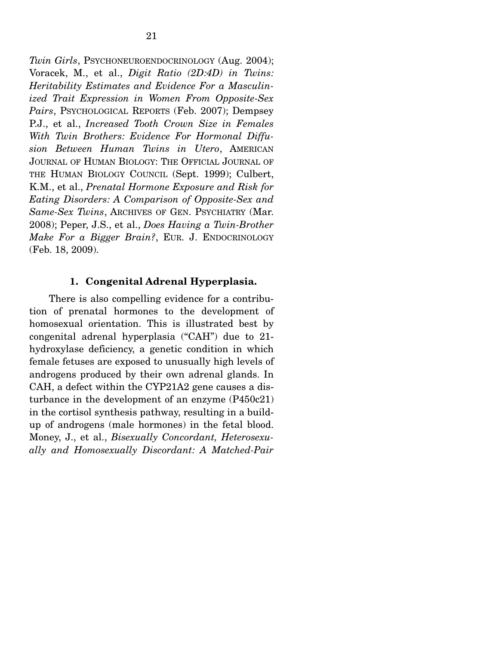*Twin Girls*, PSYCHONEUROENDOCRINOLOGY (Aug. 2004); Voracek, M., et al., *Digit Ratio (2D:4D) in Twins: Heritability Estimates and Evidence For a Masculinized Trait Expression in Women From Opposite-Sex Pairs*, PSYCHOLOGICAL REPORTS (Feb. 2007); Dempsey P.J., et al., *Increased Tooth Crown Size in Females With Twin Brothers: Evidence For Hormonal Diffusion Between Human Twins in Utero*, AMERICAN JOURNAL OF HUMAN BIOLOGY: THE OFFICIAL JOURNAL OF THE HUMAN BIOLOGY COUNCIL (Sept. 1999); Culbert, K.M., et al., *Prenatal Hormone Exposure and Risk for Eating Disorders: A Comparison of Opposite-Sex and Same-Sex Twins*, ARCHIVES OF GEN. PSYCHIATRY (Mar. 2008); Peper, J.S., et al., *Does Having a Twin-Brother Make For a Bigger Brain?*, EUR. J. ENDOCRINOLOGY (Feb. 18, 2009).

#### **1. Congenital Adrenal Hyperplasia.**

There is also compelling evidence for a contribution of prenatal hormones to the development of homosexual orientation. This is illustrated best by congenital adrenal hyperplasia ("CAH") due to 21 hydroxylase deficiency, a genetic condition in which female fetuses are exposed to unusually high levels of androgens produced by their own adrenal glands. In CAH, a defect within the CYP21A2 gene causes a disturbance in the development of an enzyme (P450c21) in the cortisol synthesis pathway, resulting in a buildup of androgens (male hormones) in the fetal blood. Money, J., et al., *Bisexually Concordant, Heterosexually and Homosexually Discordant: A Matched-Pair*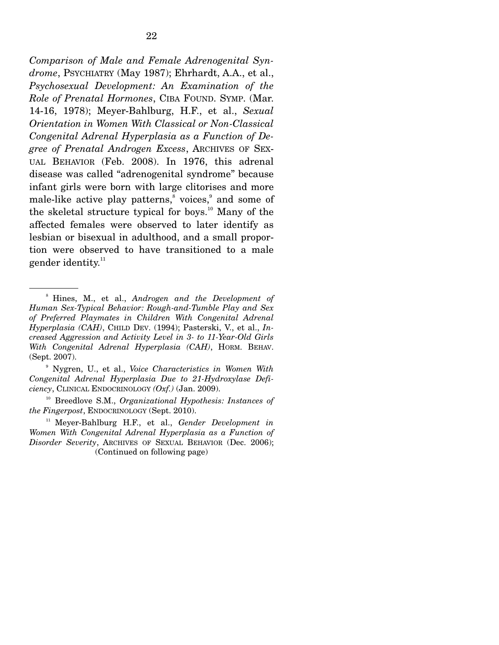*Comparison of Male and Female Adrenogenital Syndrome*, PSYCHIATRY (May 1987); Ehrhardt, A.A., et al., *Psychosexual Development: An Examination of the Role of Prenatal Hormones*, CIBA FOUND. SYMP. (Mar. 14-16, 1978); Meyer-Bahlburg, H.F., et al., *Sexual Orientation in Women With Classical or Non-Classical Congenital Adrenal Hyperplasia as a Function of Degree of Prenatal Androgen Excess*, ARCHIVES OF SEX-UAL BEHAVIOR (Feb. 2008). In 1976, this adrenal disease was called "adrenogenital syndrome" because infant girls were born with large clitorises and more male-like active play patterns,<sup>8</sup> voices,<sup>9</sup> and some of the skeletal structure typical for boys.<sup>10</sup> Many of the affected females were observed to later identify as lesbian or bisexual in adulthood, and a small proportion were observed to have transitioned to a male gender identity. $11$ 

9 Nygren, U., et al., *Voice Characteristics in Women With Congenital Adrenal Hyperplasia Due to 21-Hydroxylase Deficiency*, CLINICAL ENDOCRINOLOGY *(Oxf.)* (Jan. 2009).

<sup>11</sup> Meyer-Bahlburg H.F., et al., *Gender Development in Women With Congenital Adrenal Hyperplasia as a Function of Disorder Severity*, ARCHIVES OF SEXUAL BEHAVIOR (Dec. 2006); (Continued on following page)

<sup>8</sup> Hines, M., et al., *Androgen and the Development of Human Sex-Typical Behavior: Rough-and-Tumble Play and Sex of Preferred Playmates in Children With Congenital Adrenal Hyperplasia (CAH)*, CHILD DEV. (1994); Pasterski, V., et al., *Increased Aggression and Activity Level in 3- to 11-Year-Old Girls With Congenital Adrenal Hyperplasia (CAH)*, HORM. BEHAV. (Sept. 2007).

<sup>10</sup> Breedlove S.M., *Organizational Hypothesis: Instances of the Fingerpost*, ENDOCRINOLOGY (Sept. 2010).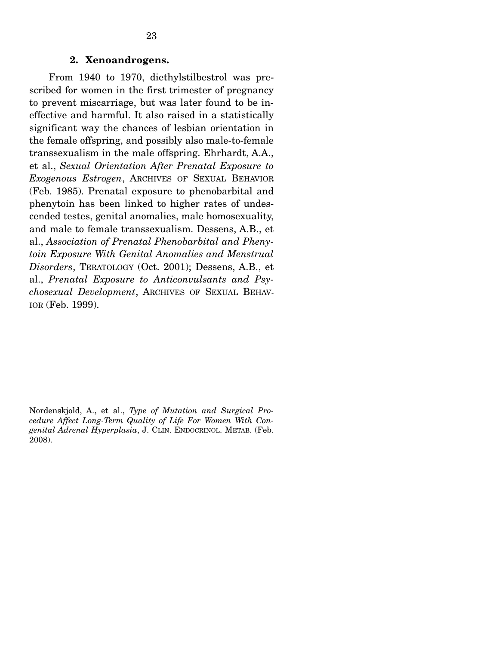From 1940 to 1970, diethylstilbestrol was prescribed for women in the first trimester of pregnancy to prevent miscarriage, but was later found to be ineffective and harmful. It also raised in a statistically significant way the chances of lesbian orientation in the female offspring, and possibly also male-to-female transsexualism in the male offspring. Ehrhardt, A.A., et al., *Sexual Orientation After Prenatal Exposure to Exogenous Estrogen*, ARCHIVES OF SEXUAL BEHAVIOR (Feb. 1985). Prenatal exposure to phenobarbital and phenytoin has been linked to higher rates of undescended testes, genital anomalies, male homosexuality, and male to female transsexualism. Dessens, A.B., et al., *Association of Prenatal Phenobarbital and Phenytoin Exposure With Genital Anomalies and Menstrual Disorders*, TERATOLOGY (Oct. 2001); Dessens, A.B., et al., *Prenatal Exposure to Anticonvulsants and Psychosexual Development*, ARCHIVES OF SEXUAL BEHAV-IOR (Feb. 1999).

Nordenskjold, A., et al., *Type of Mutation and Surgical Procedure Affect Long-Term Quality of Life For Women With Congenital Adrenal Hyperplasia*, J. CLIN. ENDOCRINOL. METAB. (Feb. 2008).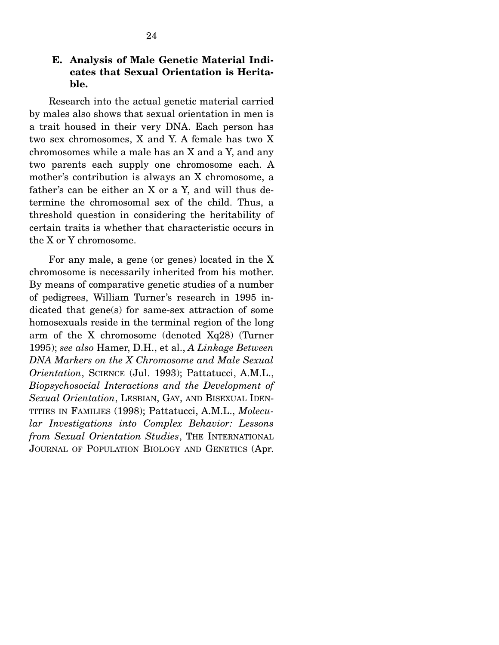### **E. Analysis of Male Genetic Material Indicates that Sexual Orientation is Heritable.**

Research into the actual genetic material carried by males also shows that sexual orientation in men is a trait housed in their very DNA. Each person has two sex chromosomes, X and Y. A female has two X chromosomes while a male has an X and a Y, and any two parents each supply one chromosome each. A mother's contribution is always an X chromosome, a father's can be either an X or a Y, and will thus determine the chromosomal sex of the child. Thus, a threshold question in considering the heritability of certain traits is whether that characteristic occurs in the X or Y chromosome.

 For any male, a gene (or genes) located in the X chromosome is necessarily inherited from his mother. By means of comparative genetic studies of a number of pedigrees, William Turner's research in 1995 indicated that gene(s) for same-sex attraction of some homosexuals reside in the terminal region of the long arm of the X chromosome (denoted Xq28) (Turner 1995); *see also* Hamer, D.H., et al., *A Linkage Between DNA Markers on the X Chromosome and Male Sexual Orientation*, SCIENCE (Jul. 1993); Pattatucci, A.M.L., *Biopsychosocial Interactions and the Development of Sexual Orientation*, LESBIAN, GAY, AND BISEXUAL IDEN-TITIES IN FAMILIES (1998); Pattatucci, A.M.L., *Molecular Investigations into Complex Behavior: Lessons from Sexual Orientation Studies*, THE INTERNATIONAL JOURNAL OF POPULATION BIOLOGY AND GENETICS (Apr.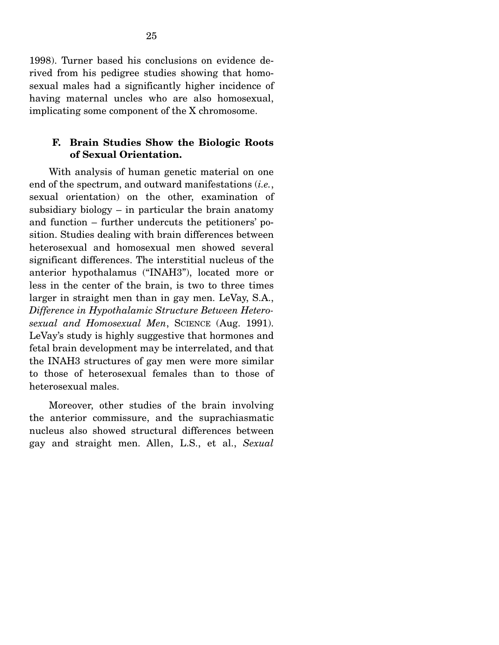1998). Turner based his conclusions on evidence derived from his pedigree studies showing that homosexual males had a significantly higher incidence of having maternal uncles who are also homosexual, implicating some component of the X chromosome.

### **F. Brain Studies Show the Biologic Roots of Sexual Orientation.**

With analysis of human genetic material on one end of the spectrum, and outward manifestations (*i.e.*, sexual orientation) on the other, examination of subsidiary biology  $-$  in particular the brain anatomy and function – further undercuts the petitioners' position. Studies dealing with brain differences between heterosexual and homosexual men showed several significant differences. The interstitial nucleus of the anterior hypothalamus ("INAH3"), located more or less in the center of the brain, is two to three times larger in straight men than in gay men. LeVay, S.A., *Difference in Hypothalamic Structure Between Heterosexual and Homosexual Men*, SCIENCE (Aug. 1991). LeVay's study is highly suggestive that hormones and fetal brain development may be interrelated, and that the INAH3 structures of gay men were more similar to those of heterosexual females than to those of heterosexual males.

 Moreover, other studies of the brain involving the anterior commissure, and the suprachiasmatic nucleus also showed structural differences between gay and straight men. Allen, L.S., et al., *Sexual*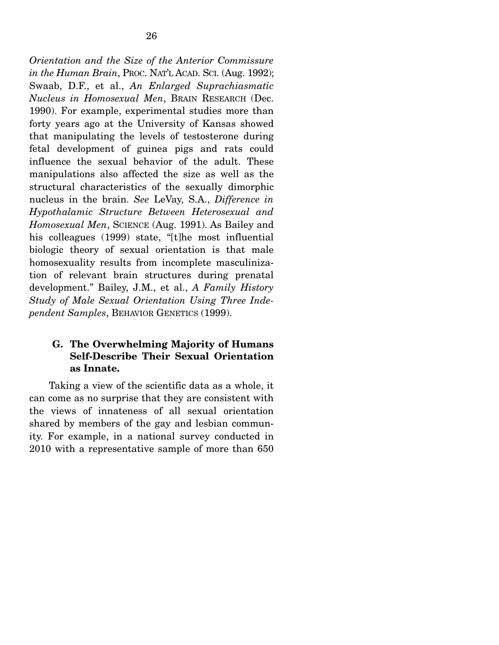*Orientation and the Size of the Anterior Commissure in the Human Brain*, PROC. NAT'L ACAD. SCI. (Aug. 1992); Swaab, D.F., et al., *An Enlarged Suprachiasmatic Nucleus in Homosexual Men*, BRAIN RESEARCH (Dec. 1990). For example, experimental studies more than forty years ago at the University of Kansas showed that manipulating the levels of testosterone during fetal development of guinea pigs and rats could influence the sexual behavior of the adult. These manipulations also affected the size as well as the structural characteristics of the sexually dimorphic nucleus in the brain. *See* LeVay, S.A., *Difference in Hypothalamic Structure Between Heterosexual and Homosexual Men*, SCIENCE (Aug. 1991). As Bailey and his colleagues (1999) state, "[t]he most influential biologic theory of sexual orientation is that male homosexuality results from incomplete masculinization of relevant brain structures during prenatal development." Bailey, J.M., et al., *A Family History Study of Male Sexual Orientation Using Three Independent Samples*, BEHAVIOR GENETICS (1999).

## **G. The Overwhelming Majority of Humans Self-Describe Their Sexual Orientation as Innate.**

Taking a view of the scientific data as a whole, it can come as no surprise that they are consistent with the views of innateness of all sexual orientation shared by members of the gay and lesbian community. For example, in a national survey conducted in 2010 with a representative sample of more than 650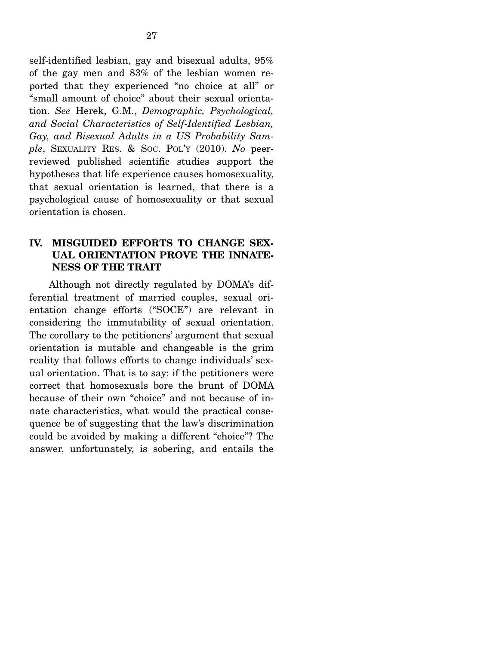self-identified lesbian, gay and bisexual adults, 95% of the gay men and 83% of the lesbian women reported that they experienced "no choice at all" or "small amount of choice" about their sexual orientation. *See* Herek, G.M., *Demographic, Psychological, and Social Characteristics of Self-Identified Lesbian, Gay, and Bisexual Adults in a US Probability Sample*, SEXUALITY RES. & SOC. POL'Y (2010). *No* peerreviewed published scientific studies support the hypotheses that life experience causes homosexuality, that sexual orientation is learned, that there is a psychological cause of homosexuality or that sexual orientation is chosen.

### **IV. MISGUIDED EFFORTS TO CHANGE SEX-UAL ORIENTATION PROVE THE INNATE-NESS OF THE TRAIT**

 Although not directly regulated by DOMA's differential treatment of married couples, sexual orientation change efforts ("SOCE") are relevant in considering the immutability of sexual orientation. The corollary to the petitioners' argument that sexual orientation is mutable and changeable is the grim reality that follows efforts to change individuals' sexual orientation. That is to say: if the petitioners were correct that homosexuals bore the brunt of DOMA because of their own "choice" and not because of innate characteristics, what would the practical consequence be of suggesting that the law's discrimination could be avoided by making a different "choice"? The answer, unfortunately, is sobering, and entails the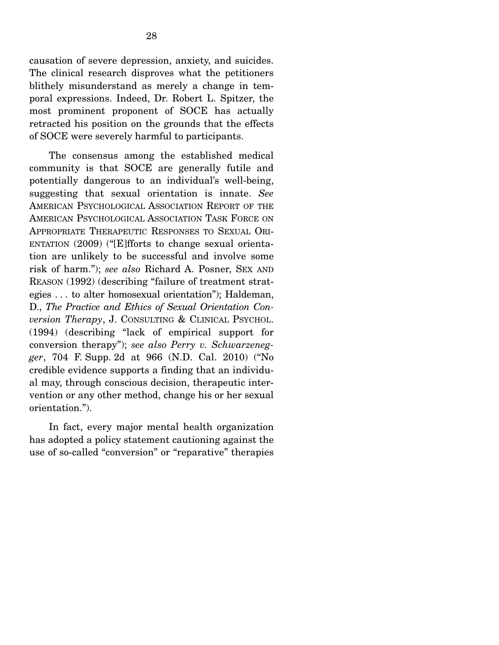causation of severe depression, anxiety, and suicides. The clinical research disproves what the petitioners blithely misunderstand as merely a change in temporal expressions. Indeed, Dr. Robert L. Spitzer, the most prominent proponent of SOCE has actually retracted his position on the grounds that the effects of SOCE were severely harmful to participants.

 The consensus among the established medical community is that SOCE are generally futile and potentially dangerous to an individual's well-being, suggesting that sexual orientation is innate. *See*  AMERICAN PSYCHOLOGICAL ASSOCIATION REPORT OF THE AMERICAN PSYCHOLOGICAL ASSOCIATION TASK FORCE ON APPROPRIATE THERAPEUTIC RESPONSES TO SEXUAL ORI-ENTATION (2009) ("[E]fforts to change sexual orientation are unlikely to be successful and involve some risk of harm."); *see also* Richard A. Posner, SEX AND REASON (1992) (describing "failure of treatment strategies . . . to alter homosexual orientation"); Haldeman, D., *The Practice and Ethics of Sexual Orientation Conversion Therapy*, J. CONSULTING & CLINICAL PSYCHOL. (1994) (describing "lack of empirical support for conversion therapy"); *see also Perry v. Schwarzenegger*, 704 F. Supp. 2d at 966 (N.D. Cal. 2010) ("No credible evidence supports a finding that an individual may, through conscious decision, therapeutic intervention or any other method, change his or her sexual orientation.").

 In fact, every major mental health organization has adopted a policy statement cautioning against the use of so-called "conversion" or "reparative" therapies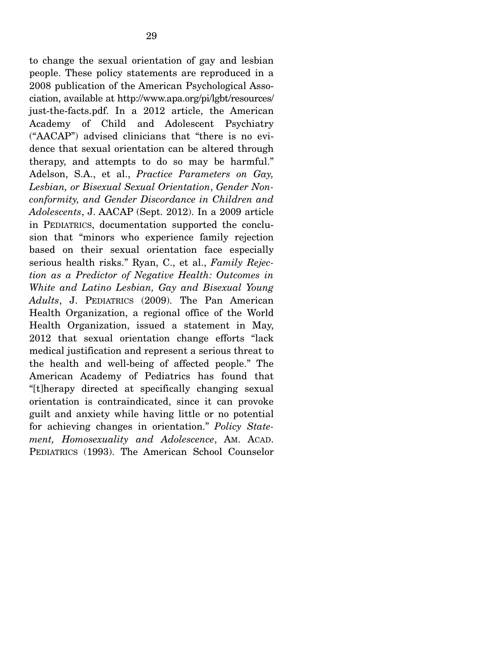to change the sexual orientation of gay and lesbian people. These policy statements are reproduced in a 2008 publication of the American Psychological Association, available at http://www.apa.org/pi/lgbt/resources/ just-the-facts.pdf. In a 2012 article, the American Academy of Child and Adolescent Psychiatry ("AACAP") advised clinicians that "there is no evidence that sexual orientation can be altered through therapy, and attempts to do so may be harmful." Adelson, S.A., et al., *Practice Parameters on Gay, Lesbian, or Bisexual Sexual Orientation*, *Gender Nonconformity, and Gender Discordance in Children and Adolescents*, J. AACAP (Sept. 2012). In a 2009 article in PEDIATRICS, documentation supported the conclusion that "minors who experience family rejection based on their sexual orientation face especially serious health risks." Ryan, C., et al., *Family Rejection as a Predictor of Negative Health: Outcomes in White and Latino Lesbian, Gay and Bisexual Young Adults*, J. PEDIATRICS (2009). The Pan American Health Organization, a regional office of the World Health Organization, issued a statement in May, 2012 that sexual orientation change efforts "lack medical justification and represent a serious threat to the health and well-being of affected people." The American Academy of Pediatrics has found that "[t]herapy directed at specifically changing sexual orientation is contraindicated, since it can provoke guilt and anxiety while having little or no potential for achieving changes in orientation." *Policy Statement, Homosexuality and Adolescence*, AM. ACAD. PEDIATRICS (1993). The American School Counselor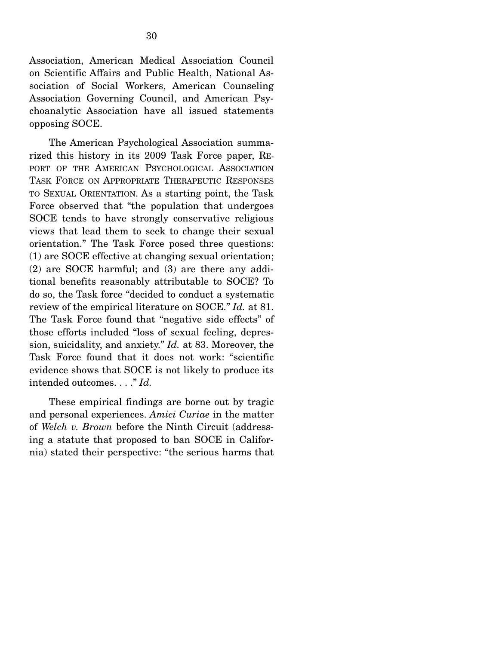Association, American Medical Association Council on Scientific Affairs and Public Health, National Association of Social Workers, American Counseling Association Governing Council, and American Psychoanalytic Association have all issued statements opposing SOCE.

 The American Psychological Association summarized this history in its 2009 Task Force paper, RE-PORT OF THE AMERICAN PSYCHOLOGICAL ASSOCIATION TASK FORCE ON APPROPRIATE THERAPEUTIC RESPONSES TO SEXUAL ORIENTATION. As a starting point, the Task Force observed that "the population that undergoes SOCE tends to have strongly conservative religious views that lead them to seek to change their sexual orientation." The Task Force posed three questions: (1) are SOCE effective at changing sexual orientation; (2) are SOCE harmful; and (3) are there any additional benefits reasonably attributable to SOCE? To do so, the Task force "decided to conduct a systematic review of the empirical literature on SOCE." *Id.* at 81. The Task Force found that "negative side effects" of those efforts included "loss of sexual feeling, depression, suicidality, and anxiety." *Id.* at 83. Moreover, the Task Force found that it does not work: "scientific evidence shows that SOCE is not likely to produce its intended outcomes. . . ." *Id.*

 These empirical findings are borne out by tragic and personal experiences. *Amici Curiae* in the matter of *Welch v. Brown* before the Ninth Circuit (addressing a statute that proposed to ban SOCE in California) stated their perspective: "the serious harms that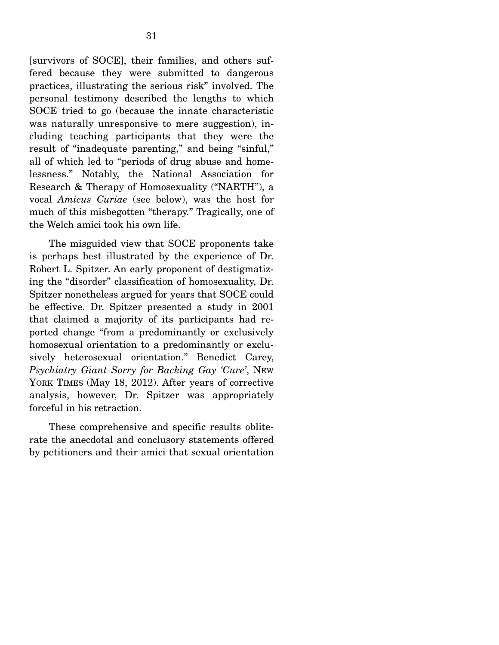[survivors of SOCE], their families, and others suffered because they were submitted to dangerous practices, illustrating the serious risk" involved. The personal testimony described the lengths to which SOCE tried to go (because the innate characteristic was naturally unresponsive to mere suggestion), including teaching participants that they were the result of "inadequate parenting," and being "sinful," all of which led to "periods of drug abuse and homelessness." Notably, the National Association for Research & Therapy of Homosexuality ("NARTH"), a vocal *Amicus Curiae* (see below), was the host for much of this misbegotten "therapy." Tragically, one of the Welch amici took his own life.

 The misguided view that SOCE proponents take is perhaps best illustrated by the experience of Dr. Robert L. Spitzer. An early proponent of destigmatizing the "disorder" classification of homosexuality, Dr. Spitzer nonetheless argued for years that SOCE could be effective. Dr. Spitzer presented a study in 2001 that claimed a majority of its participants had reported change "from a predominantly or exclusively homosexual orientation to a predominantly or exclusively heterosexual orientation." Benedict Carey, *Psychiatry Giant Sorry for Backing Gay 'Cure'*, NEW YORK TIMES (May 18, 2012). After years of corrective analysis, however, Dr. Spitzer was appropriately forceful in his retraction.

 These comprehensive and specific results obliterate the anecdotal and conclusory statements offered by petitioners and their amici that sexual orientation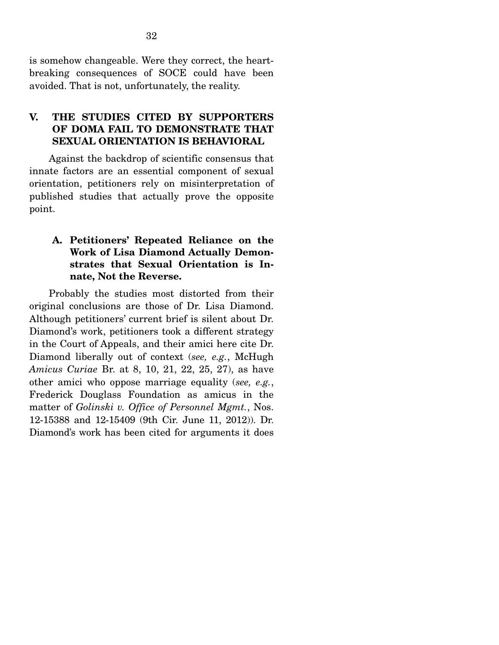is somehow changeable. Were they correct, the heartbreaking consequences of SOCE could have been avoided. That is not, unfortunately, the reality.

## **V. THE STUDIES CITED BY SUPPORTERS OF DOMA FAIL TO DEMONSTRATE THAT SEXUAL ORIENTATION IS BEHAVIORAL**

 Against the backdrop of scientific consensus that innate factors are an essential component of sexual orientation, petitioners rely on misinterpretation of published studies that actually prove the opposite point.

## **A. Petitioners' Repeated Reliance on the Work of Lisa Diamond Actually Demonstrates that Sexual Orientation is Innate, Not the Reverse.**

Probably the studies most distorted from their original conclusions are those of Dr. Lisa Diamond. Although petitioners' current brief is silent about Dr. Diamond's work, petitioners took a different strategy in the Court of Appeals, and their amici here cite Dr. Diamond liberally out of context (*see, e.g.*, McHugh *Amicus Curiae* Br. at 8, 10, 21, 22, 25, 27), as have other amici who oppose marriage equality (*see, e.g.*, Frederick Douglass Foundation as amicus in the matter of *Golinski v. Office of Personnel Mgmt.*, Nos. 12-15388 and 12-15409 (9th Cir. June 11, 2012)). Dr. Diamond's work has been cited for arguments it does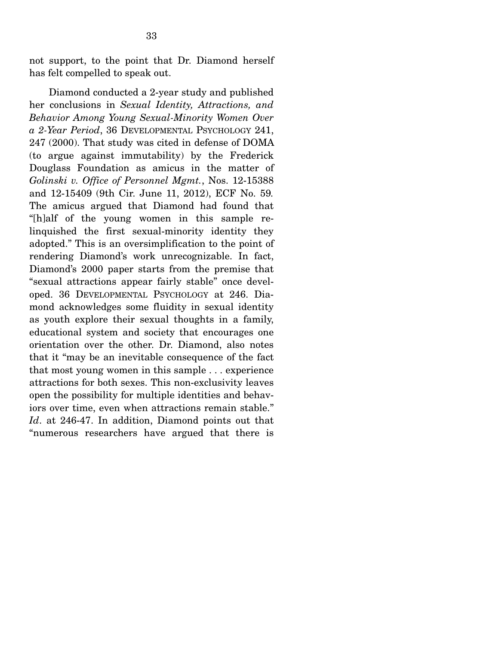not support, to the point that Dr. Diamond herself has felt compelled to speak out.

 Diamond conducted a 2-year study and published her conclusions in *Sexual Identity, Attractions, and Behavior Among Young Sexual-Minority Women Over a 2-Year Period*, 36 DEVELOPMENTAL PSYCHOLOGY 241, 247 (2000). That study was cited in defense of DOMA (to argue against immutability) by the Frederick Douglass Foundation as amicus in the matter of *Golinski v. Office of Personnel Mgmt.*, Nos. 12-15388 and 12-15409 (9th Cir. June 11, 2012), ECF No. 59*.* The amicus argued that Diamond had found that "[h]alf of the young women in this sample relinquished the first sexual-minority identity they adopted." This is an oversimplification to the point of rendering Diamond's work unrecognizable. In fact, Diamond's 2000 paper starts from the premise that "sexual attractions appear fairly stable" once developed. 36 DEVELOPMENTAL PSYCHOLOGY at 246. Diamond acknowledges some fluidity in sexual identity as youth explore their sexual thoughts in a family, educational system and society that encourages one orientation over the other. Dr. Diamond, also notes that it "may be an inevitable consequence of the fact that most young women in this sample . . . experience attractions for both sexes. This non-exclusivity leaves open the possibility for multiple identities and behaviors over time, even when attractions remain stable." *Id*. at 246-47. In addition, Diamond points out that "numerous researchers have argued that there is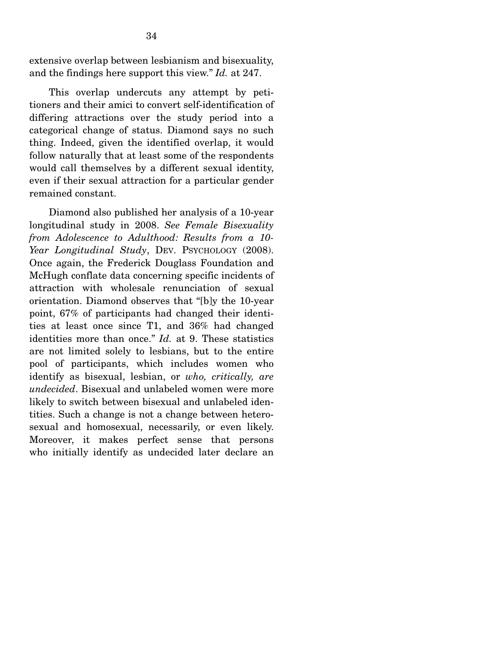extensive overlap between lesbianism and bisexuality, and the findings here support this view." *Id.* at 247.

 This overlap undercuts any attempt by petitioners and their amici to convert self-identification of differing attractions over the study period into a categorical change of status. Diamond says no such thing. Indeed, given the identified overlap, it would follow naturally that at least some of the respondents would call themselves by a different sexual identity, even if their sexual attraction for a particular gender remained constant.

 Diamond also published her analysis of a 10-year longitudinal study in 2008. *See Female Bisexuality from Adolescence to Adulthood: Results from a 10-* Year Longitudinal Study, DEV. PSYCHOLOGY (2008). Once again, the Frederick Douglass Foundation and McHugh conflate data concerning specific incidents of attraction with wholesale renunciation of sexual orientation. Diamond observes that "[b]y the 10-year point, 67% of participants had changed their identities at least once since T1, and 36% had changed identities more than once." *Id.* at 9. These statistics are not limited solely to lesbians, but to the entire pool of participants, which includes women who identify as bisexual, lesbian, or *who, critically, are undecided*. Bisexual and unlabeled women were more likely to switch between bisexual and unlabeled identities. Such a change is not a change between heterosexual and homosexual, necessarily, or even likely. Moreover, it makes perfect sense that persons who initially identify as undecided later declare an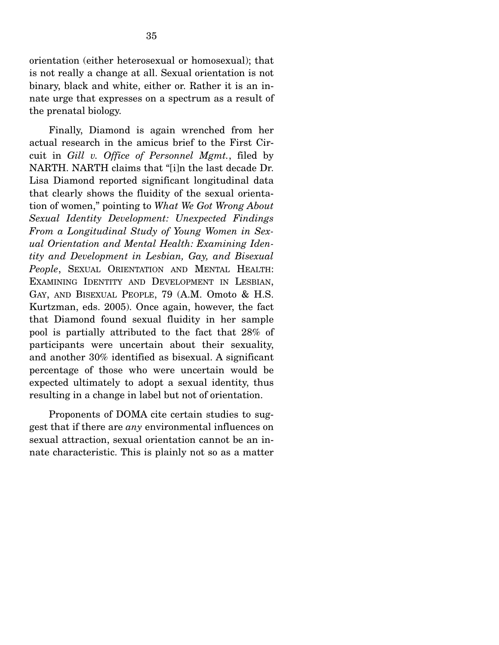orientation (either heterosexual or homosexual); that is not really a change at all. Sexual orientation is not binary, black and white, either or. Rather it is an innate urge that expresses on a spectrum as a result of the prenatal biology.

 Finally, Diamond is again wrenched from her actual research in the amicus brief to the First Circuit in *Gill v. Office of Personnel Mgmt.*, filed by NARTH. NARTH claims that "[i]n the last decade Dr. Lisa Diamond reported significant longitudinal data that clearly shows the fluidity of the sexual orientation of women," pointing to *What We Got Wrong About Sexual Identity Development: Unexpected Findings From a Longitudinal Study of Young Women in Sexual Orientation and Mental Health: Examining Identity and Development in Lesbian, Gay, and Bisexual People*, SEXUAL ORIENTATION AND MENTAL HEALTH: EXAMINING IDENTITY AND DEVELOPMENT IN LESBIAN, GAY, AND BISEXUAL PEOPLE, 79 (A.M. Omoto & H.S. Kurtzman, eds. 2005). Once again, however, the fact that Diamond found sexual fluidity in her sample pool is partially attributed to the fact that 28% of participants were uncertain about their sexuality, and another 30% identified as bisexual. A significant percentage of those who were uncertain would be expected ultimately to adopt a sexual identity, thus resulting in a change in label but not of orientation.

 Proponents of DOMA cite certain studies to suggest that if there are *any* environmental influences on sexual attraction, sexual orientation cannot be an innate characteristic. This is plainly not so as a matter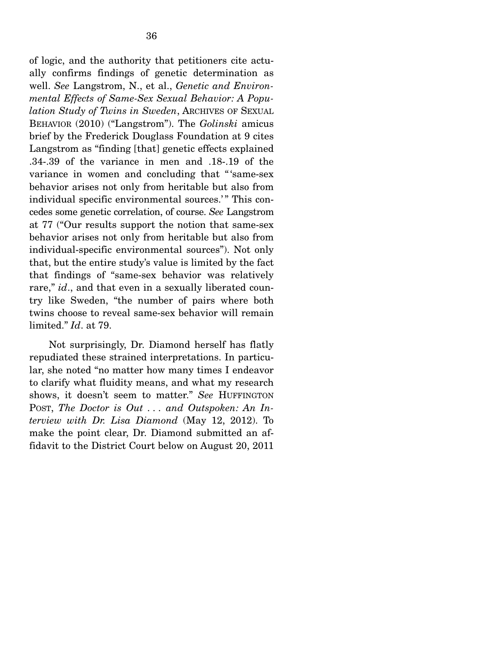of logic, and the authority that petitioners cite actually confirms findings of genetic determination as well. *See* Langstrom, N., et al., *Genetic and Environmental Effects of Same-Sex Sexual Behavior: A Population Study of Twins in Sweden*, ARCHIVES OF SEXUAL BEHAVIOR (2010) ("Langstrom"). The *Golinski* amicus brief by the Frederick Douglass Foundation at 9 cites Langstrom as "finding [that] genetic effects explained .34-.39 of the variance in men and .18-.19 of the variance in women and concluding that "'same-sex behavior arises not only from heritable but also from individual specific environmental sources.'" This concedes some genetic correlation, of course. *See* Langstrom at 77 ("Our results support the notion that same-sex behavior arises not only from heritable but also from individual-specific environmental sources"). Not only that, but the entire study's value is limited by the fact that findings of "same-sex behavior was relatively rare," *id.*, and that even in a sexually liberated country like Sweden, "the number of pairs where both twins choose to reveal same-sex behavior will remain limited." *Id*. at 79.

 Not surprisingly, Dr. Diamond herself has flatly repudiated these strained interpretations. In particular, she noted "no matter how many times I endeavor to clarify what fluidity means, and what my research shows, it doesn't seem to matter." *See* HUFFINGTON POST, *The Doctor is Out . . . and Outspoken: An Interview with Dr. Lisa Diamond* (May 12, 2012). To make the point clear, Dr. Diamond submitted an affidavit to the District Court below on August 20, 2011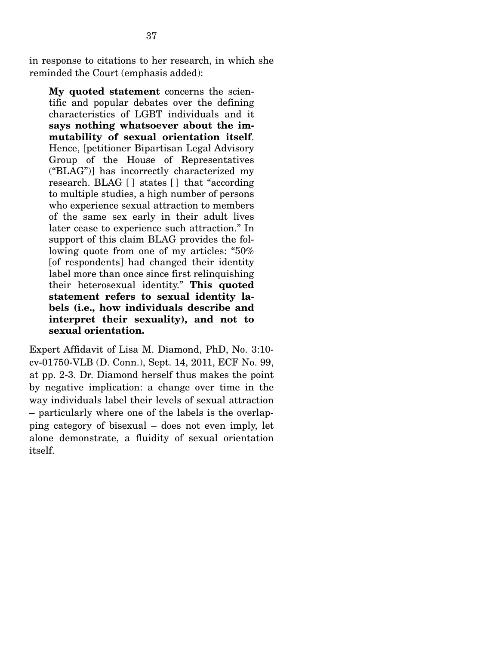in response to citations to her research, in which she reminded the Court (emphasis added):

**My quoted statement** concerns the scientific and popular debates over the defining characteristics of LGBT individuals and it **says nothing whatsoever about the immutability of sexual orientation itself**. Hence, [petitioner Bipartisan Legal Advisory Group of the House of Representatives ("BLAG")] has incorrectly characterized my research. BLAG [ ] states [ ] that "according to multiple studies, a high number of persons who experience sexual attraction to members of the same sex early in their adult lives later cease to experience such attraction." In support of this claim BLAG provides the following quote from one of my articles: "50% [of respondents] had changed their identity label more than once since first relinquishing their heterosexual identity." **This quoted statement refers to sexual identity labels (i.e., how individuals describe and interpret their sexuality), and not to sexual orientation.**

Expert Affidavit of Lisa M. Diamond, PhD, No. 3:10 cv-01750-VLB (D. Conn.), Sept. 14, 2011, ECF No. 99, at pp. 2-3. Dr. Diamond herself thus makes the point by negative implication: a change over time in the way individuals label their levels of sexual attraction – particularly where one of the labels is the overlapping category of bisexual – does not even imply, let alone demonstrate, a fluidity of sexual orientation itself.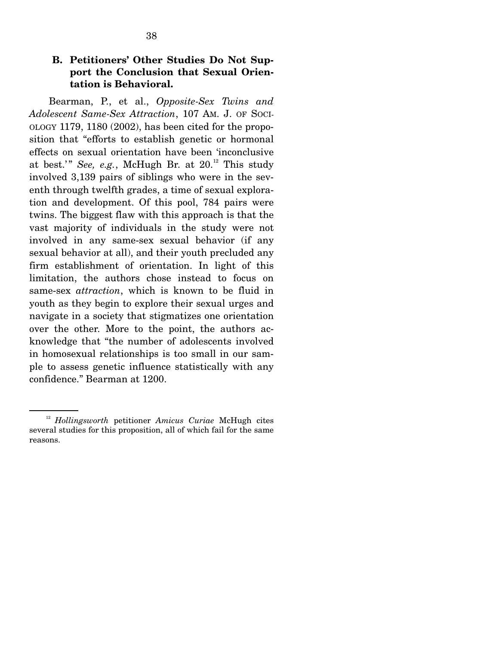## **B. Petitioners' Other Studies Do Not Support the Conclusion that Sexual Orientation is Behavioral.**

Bearman, P., et al., *Opposite-Sex Twins and Adolescent Same-Sex Attraction*, 107 AM. J. OF SOCI-OLOGY 1179, 1180 (2002), has been cited for the proposition that "efforts to establish genetic or hormonal effects on sexual orientation have been 'inconclusive at best.'" *See, e.g.*, McHugh Br. at  $20$ <sup>12</sup> This study involved 3,139 pairs of siblings who were in the seventh through twelfth grades, a time of sexual exploration and development. Of this pool, 784 pairs were twins. The biggest flaw with this approach is that the vast majority of individuals in the study were not involved in any same-sex sexual behavior (if any sexual behavior at all), and their youth precluded any firm establishment of orientation. In light of this limitation, the authors chose instead to focus on same-sex *attraction*, which is known to be fluid in youth as they begin to explore their sexual urges and navigate in a society that stigmatizes one orientation over the other. More to the point, the authors acknowledge that "the number of adolescents involved in homosexual relationships is too small in our sample to assess genetic influence statistically with any confidence." Bearman at 1200.

<sup>12</sup> *Hollingsworth* petitioner *Amicus Curiae* McHugh cites several studies for this proposition, all of which fail for the same reasons.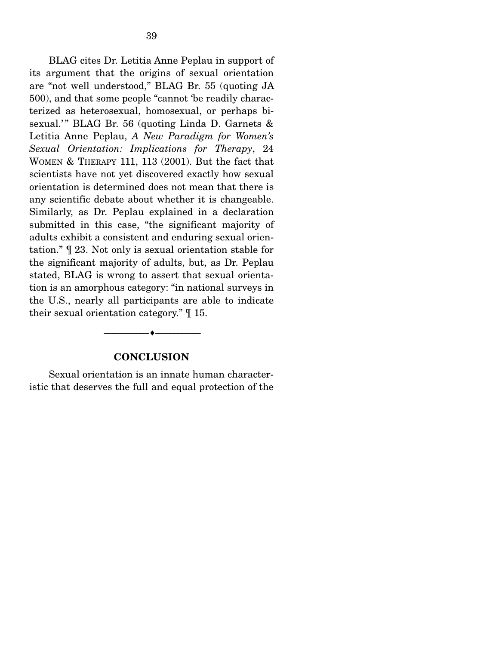BLAG cites Dr. Letitia Anne Peplau in support of its argument that the origins of sexual orientation are "not well understood," BLAG Br. 55 (quoting JA 500), and that some people "cannot 'be readily characterized as heterosexual, homosexual, or perhaps bisexual.'" BLAG Br. 56 (quoting Linda D. Garnets  $\&$ Letitia Anne Peplau, *A New Paradigm for Women's Sexual Orientation: Implications for Therapy*, 24 WOMEN & THERAPY 111, 113 (2001). But the fact that scientists have not yet discovered exactly how sexual orientation is determined does not mean that there is any scientific debate about whether it is changeable. Similarly, as Dr. Peplau explained in a declaration submitted in this case, "the significant majority of adults exhibit a consistent and enduring sexual orientation." ¶ 23. Not only is sexual orientation stable for the significant majority of adults, but, as Dr. Peplau stated, BLAG is wrong to assert that sexual orientation is an amorphous category: "in national surveys in the U.S., nearly all participants are able to indicate their sexual orientation category." ¶ 15.

#### **CONCLUSION**

--------------------------------- ---------------------------------

 Sexual orientation is an innate human characteristic that deserves the full and equal protection of the